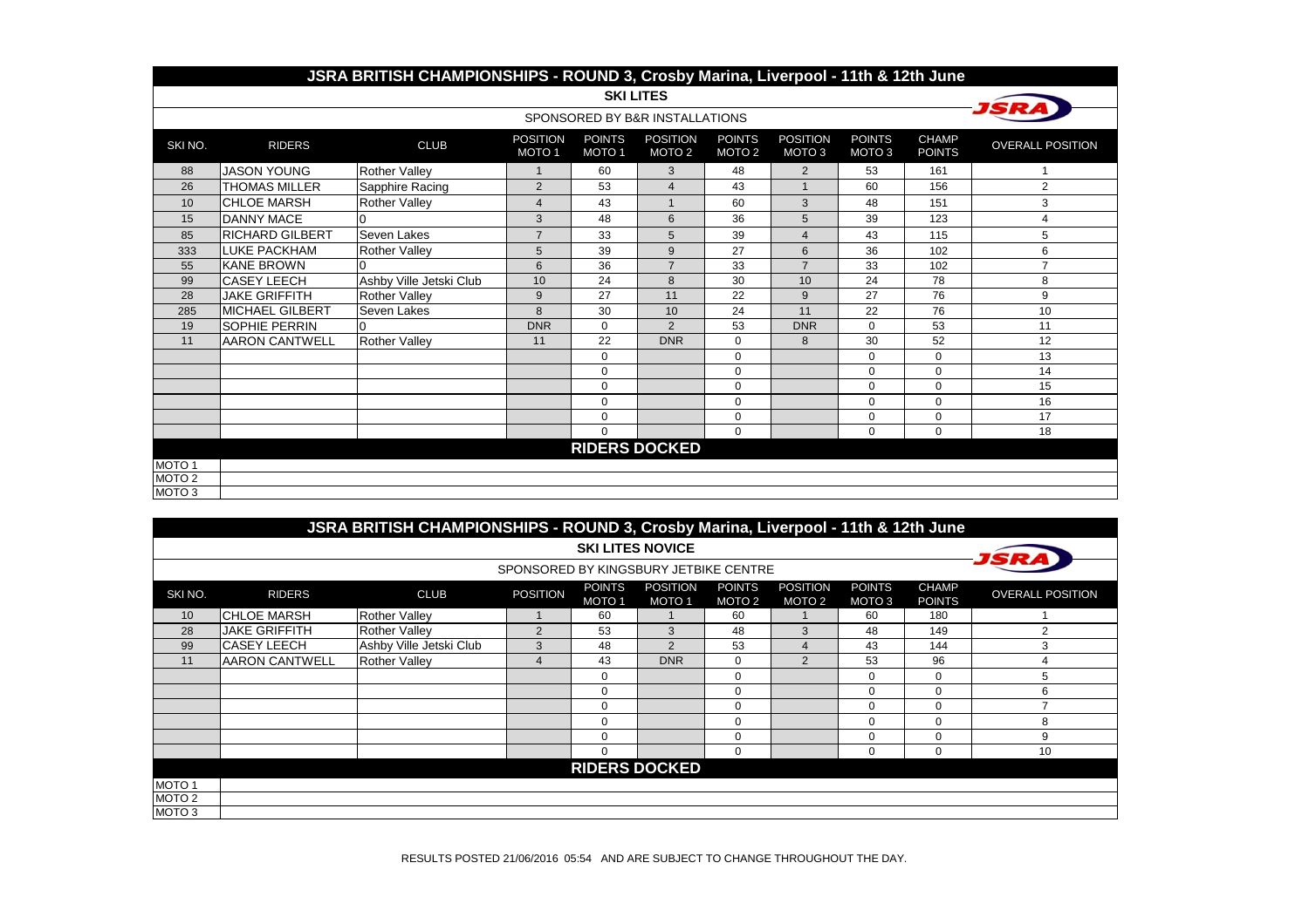|                   | JSRA BRITISH CHAMPIONSHIPS - ROUND 3, Crosby Marina, Liverpool - 11th & 12th June |                         |                                      |                                    |                                      |                                    |                                      |                                    |                               |                         |  |  |  |  |
|-------------------|-----------------------------------------------------------------------------------|-------------------------|--------------------------------------|------------------------------------|--------------------------------------|------------------------------------|--------------------------------------|------------------------------------|-------------------------------|-------------------------|--|--|--|--|
|                   |                                                                                   |                         |                                      |                                    | <b>SKI LITES</b>                     |                                    |                                      |                                    |                               |                         |  |  |  |  |
|                   |                                                                                   |                         |                                      |                                    | SPONSORED BY B&R INSTALLATIONS       |                                    |                                      |                                    |                               |                         |  |  |  |  |
| SKINO.            | <b>RIDERS</b>                                                                     | <b>CLUB</b>             | <b>POSITION</b><br>MOTO <sub>1</sub> | <b>POINTS</b><br>MOTO <sub>1</sub> | <b>POSITION</b><br>MOTO <sub>2</sub> | <b>POINTS</b><br>MOTO <sub>2</sub> | <b>POSITION</b><br>MOTO <sub>3</sub> | <b>POINTS</b><br>MOTO <sub>3</sub> | <b>CHAMP</b><br><b>POINTS</b> | <b>OVERALL POSITION</b> |  |  |  |  |
| 88                | <b>JASON YOUNG</b>                                                                | <b>Rother Valley</b>    | $\mathbf{1}$                         | 60                                 | 3                                    | 48                                 | 2                                    | 53                                 | 161                           |                         |  |  |  |  |
| 26                | <b>THOMAS MILLER</b>                                                              | Sapphire Racing         | $\overline{2}$                       | 53                                 | $\overline{4}$                       | 43                                 |                                      | 60                                 | 156                           | 2                       |  |  |  |  |
| 10                | <b>CHLOE MARSH</b>                                                                | <b>Rother Valley</b>    | $\overline{4}$                       | 43                                 |                                      | 60                                 | 3                                    | 48                                 | 151                           | 3                       |  |  |  |  |
| 15                | <b>DANNY MACE</b>                                                                 |                         | 3                                    | 48                                 | 6                                    | 36                                 | 5                                    | 39                                 | 123                           | 4                       |  |  |  |  |
| 85                | <b>RICHARD GILBERT</b>                                                            | Seven Lakes             | $\overline{7}$                       | 33                                 | 5                                    | 39                                 | $\overline{4}$                       | 43                                 | 115                           | 5                       |  |  |  |  |
| 333               | <b>LUKE PACKHAM</b>                                                               | <b>Rother Valley</b>    | 5                                    | 39                                 | 9                                    | 27                                 | 6                                    | 36                                 | 102                           | 6                       |  |  |  |  |
| 55                | <b>KANE BROWN</b>                                                                 |                         | 6                                    | 36                                 | $\overline{7}$                       | 33                                 | $\overline{7}$                       | 33                                 | 102                           | $\overline{7}$          |  |  |  |  |
| 99                | <b>CASEY LEECH</b>                                                                | Ashby Ville Jetski Club | 10                                   | 24                                 | 8                                    | 30                                 | 10                                   | 24                                 | 78                            | 8                       |  |  |  |  |
| 28                | <b>JAKE GRIFFITH</b>                                                              | <b>Rother Valley</b>    | 9                                    | 27                                 | 11                                   | 22                                 | 9                                    | 27                                 | 76                            | 9                       |  |  |  |  |
| 285               | MICHAEL GILBERT                                                                   | Seven Lakes             | 8                                    | 30                                 | 10                                   | 24                                 | 11                                   | 22                                 | 76                            | 10                      |  |  |  |  |
| 19                | <b>ISOPHIE PERRIN</b>                                                             |                         | <b>DNR</b>                           | 0                                  | 2                                    | 53                                 | <b>DNR</b>                           | $\Omega$                           | 53                            | 11                      |  |  |  |  |
| 11                | <b>AARON CANTWELL</b>                                                             | <b>Rother Valley</b>    | 11                                   | 22                                 | <b>DNR</b>                           | 0                                  | 8                                    | 30                                 | 52                            | 12                      |  |  |  |  |
|                   |                                                                                   |                         |                                      | 0                                  |                                      | $\Omega$                           |                                      | $\Omega$                           | $\Omega$                      | 13                      |  |  |  |  |
|                   |                                                                                   |                         |                                      | 0                                  |                                      | 0                                  |                                      | $\mathbf 0$                        | $\mathbf 0$                   | 14                      |  |  |  |  |
|                   |                                                                                   |                         |                                      | 0                                  |                                      | 0                                  |                                      | $\Omega$                           | $\Omega$                      | 15                      |  |  |  |  |
|                   |                                                                                   |                         |                                      | 0                                  |                                      | 0                                  |                                      | $\Omega$                           | $\Omega$                      | 16                      |  |  |  |  |
|                   |                                                                                   |                         |                                      | 0                                  |                                      | 0                                  |                                      | $\mathbf 0$                        | $\mathbf 0$                   | 17                      |  |  |  |  |
|                   |                                                                                   |                         |                                      | $\Omega$                           |                                      | $\Omega$                           |                                      | $\mathbf 0$                        | $\mathbf 0$                   | 18                      |  |  |  |  |
|                   | <b>RIDERS DOCKED</b>                                                              |                         |                                      |                                    |                                      |                                    |                                      |                                    |                               |                         |  |  |  |  |
| MOTO 1            |                                                                                   |                         |                                      |                                    |                                      |                                    |                                      |                                    |                               |                         |  |  |  |  |
| MOTO <sub>2</sub> |                                                                                   |                         |                                      |                                    |                                      |                                    |                                      |                                    |                               |                         |  |  |  |  |
| MOTO <sub>3</sub> |                                                                                   |                         |                                      |                                    |                                      |                                    |                                      |                                    |                               |                         |  |  |  |  |

|                   | JSRA BRITISH CHAMPIONSHIPS - ROUND 3, Crosby Marina, Liverpool - 11th & 12th June |                         |                                       |                                    |                                 |                                    |                                      |                                    |                               |                         |  |  |
|-------------------|-----------------------------------------------------------------------------------|-------------------------|---------------------------------------|------------------------------------|---------------------------------|------------------------------------|--------------------------------------|------------------------------------|-------------------------------|-------------------------|--|--|
|                   |                                                                                   |                         |                                       |                                    | <b>SKI LITES NOVICE</b>         |                                    |                                      |                                    |                               |                         |  |  |
|                   |                                                                                   |                         | SPONSORED BY KINGSBURY JETBIKE CENTRE |                                    |                                 |                                    |                                      |                                    |                               |                         |  |  |
| SKI NO.           | <b>RIDERS</b>                                                                     | <b>CLUB</b>             | <b>POSITION</b>                       | <b>POINTS</b><br>MOTO <sub>1</sub> | <b>POSITION</b><br><b>MOTO1</b> | <b>POINTS</b><br>MOTO <sub>2</sub> | <b>POSITION</b><br>MOTO <sub>2</sub> | <b>POINTS</b><br>MOTO <sub>3</sub> | <b>CHAMP</b><br><b>POINTS</b> | <b>OVERALL POSITION</b> |  |  |
| 10                | <b>ICHLOE MARSH</b>                                                               | <b>Rother Valley</b>    |                                       | 60                                 |                                 | 60                                 |                                      | 60                                 | 180                           |                         |  |  |
| 28                | <b>JAKE GRIFFITH</b>                                                              | <b>Rother Valley</b>    | $\overline{2}$                        | 53                                 | 3                               | 48                                 | 3                                    | 48                                 | 149                           |                         |  |  |
| 99                | <b>CASEY LEECH</b>                                                                | Ashby Ville Jetski Club | 3                                     | 48                                 | 2                               | 53                                 | $\overline{4}$                       | 43                                 | 144                           |                         |  |  |
| 11                | <b>AARON CANTWELL</b>                                                             | <b>Rother Valley</b>    | 4                                     | 43                                 | <b>DNR</b>                      | $\mathbf 0$                        | $\overline{2}$                       | 53                                 | 96                            |                         |  |  |
|                   |                                                                                   |                         |                                       | 0                                  |                                 | $\Omega$                           |                                      | 0                                  | $\Omega$                      |                         |  |  |
|                   |                                                                                   |                         |                                       | $\Omega$                           |                                 | $\Omega$                           |                                      | $\Omega$                           | $\Omega$                      | 6                       |  |  |
|                   |                                                                                   |                         |                                       | 0                                  |                                 | $\Omega$                           |                                      | $\Omega$                           | $\Omega$                      |                         |  |  |
|                   |                                                                                   |                         |                                       | 0                                  |                                 | $\Omega$                           |                                      | $\mathbf 0$                        | $\Omega$                      | 8                       |  |  |
|                   |                                                                                   |                         |                                       | 0                                  |                                 | $\Omega$                           |                                      | $\Omega$                           | $\Omega$                      | 9                       |  |  |
|                   |                                                                                   |                         |                                       | $\Omega$                           |                                 | $\Omega$                           |                                      | $\mathbf 0$                        |                               | 10                      |  |  |
|                   |                                                                                   |                         |                                       |                                    | <b>RIDERS DOCKED</b>            |                                    |                                      |                                    |                               |                         |  |  |
| MOTO <sub>1</sub> |                                                                                   |                         |                                       |                                    |                                 |                                    |                                      |                                    |                               |                         |  |  |
| MOTO <sub>2</sub> |                                                                                   |                         |                                       |                                    |                                 |                                    |                                      |                                    |                               |                         |  |  |
| MOTO 3            |                                                                                   |                         |                                       |                                    |                                 |                                    |                                      |                                    |                               |                         |  |  |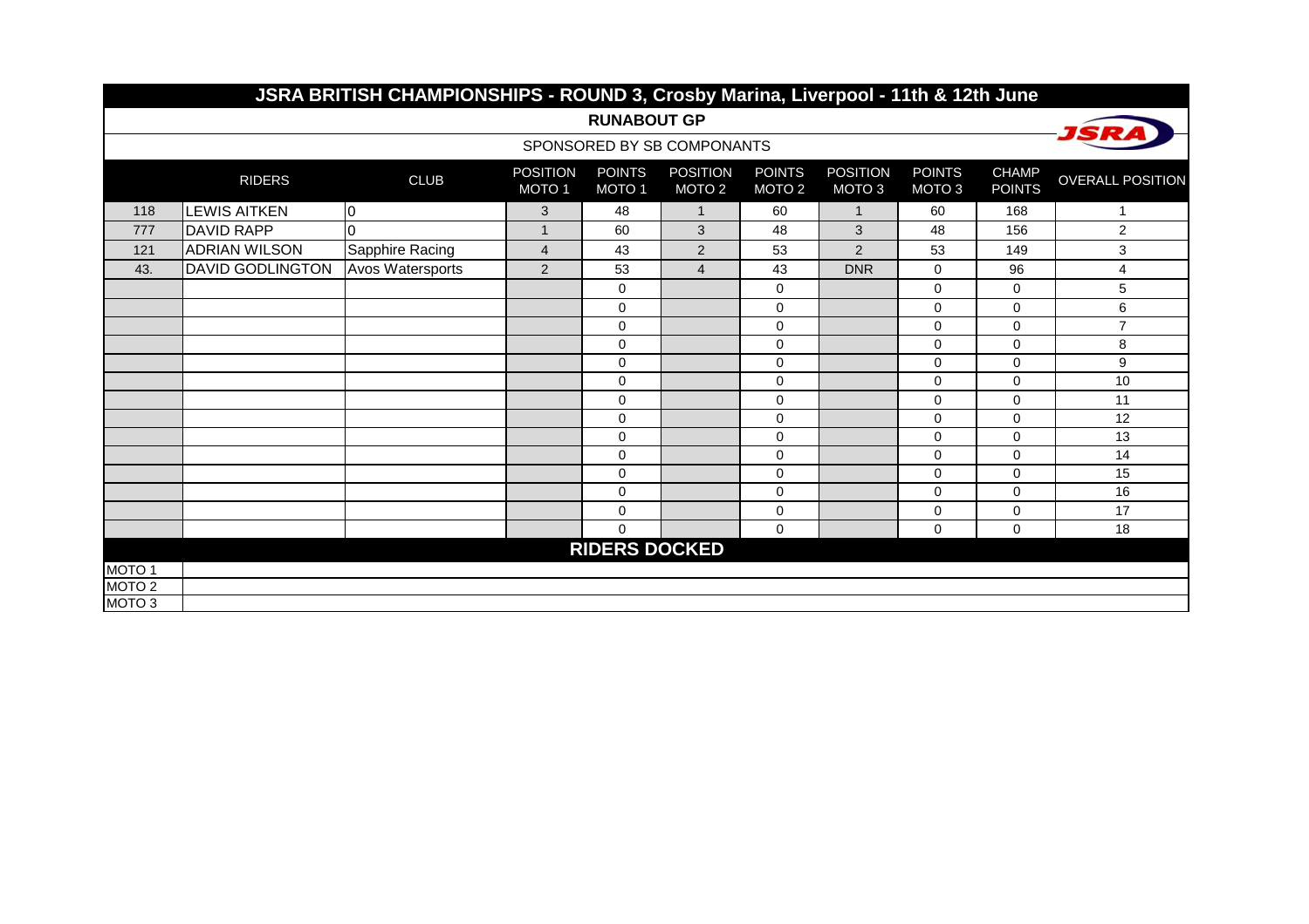|                   |                         | JSRA BRITISH CHAMPIONSHIPS - ROUND 3, Crosby Marina, Liverpool - 11th & 12th June |                                      |                                    |                                      |                                    |                                      |                                    |                               |                         |
|-------------------|-------------------------|-----------------------------------------------------------------------------------|--------------------------------------|------------------------------------|--------------------------------------|------------------------------------|--------------------------------------|------------------------------------|-------------------------------|-------------------------|
|                   |                         |                                                                                   |                                      | <b>RUNABOUT GP</b>                 |                                      |                                    |                                      |                                    |                               |                         |
|                   |                         |                                                                                   |                                      |                                    | SPONSORED BY SB COMPONANTS           |                                    |                                      |                                    |                               |                         |
|                   | <b>RIDERS</b>           | <b>CLUB</b>                                                                       | <b>POSITION</b><br>MOTO <sub>1</sub> | <b>POINTS</b><br>MOTO <sub>1</sub> | <b>POSITION</b><br>MOTO <sub>2</sub> | <b>POINTS</b><br>MOTO <sub>2</sub> | <b>POSITION</b><br>MOTO <sub>3</sub> | <b>POINTS</b><br>MOTO <sub>3</sub> | <b>CHAMP</b><br><b>POINTS</b> | <b>OVERALL POSITION</b> |
| 118               | <b>LEWIS AITKEN</b>     | $\overline{0}$                                                                    | 3                                    | 48                                 | $\mathbf{1}$                         | 60                                 | $\mathbf{1}$                         | 60                                 | 168                           | 1                       |
| 777               | <b>DAVID RAPP</b>       | $\Omega$                                                                          | $\mathbf 1$                          | 60                                 | 3                                    | 48                                 | 3                                    | 48                                 | 156                           | $\overline{c}$          |
| 121               | <b>ADRIAN WILSON</b>    | Sapphire Racing                                                                   | $\overline{4}$                       | 43                                 | 2                                    | 53                                 | $\overline{2}$                       | 53                                 | 149                           | $\mathsf 3$             |
| 43.               | <b>DAVID GODLINGTON</b> | Avos Watersports                                                                  | $\overline{2}$                       | 53                                 | $\overline{4}$                       | 43                                 | <b>DNR</b>                           | $\Omega$                           | 96                            | 4                       |
|                   |                         |                                                                                   |                                      | 0                                  |                                      | $\mathbf 0$                        |                                      | 0                                  | $\mathbf 0$                   | 5                       |
|                   |                         |                                                                                   |                                      | 0                                  |                                      | 0                                  |                                      | $\mathbf 0$                        | $\mathbf 0$                   | 6                       |
|                   |                         |                                                                                   |                                      | $\Omega$                           |                                      | $\mathbf 0$                        |                                      | $\Omega$                           | $\Omega$                      | $\overline{7}$          |
|                   |                         |                                                                                   |                                      | 0                                  |                                      | $\mathbf 0$                        |                                      | $\mathbf 0$                        | $\Omega$                      | 8                       |
|                   |                         |                                                                                   |                                      | 0                                  |                                      | $\mathbf 0$                        |                                      | $\Omega$                           | $\Omega$                      | $\boldsymbol{9}$        |
|                   |                         |                                                                                   |                                      | 0                                  |                                      | $\mathbf 0$                        |                                      | $\mathbf 0$                        | $\mathbf 0$                   | 10                      |
|                   |                         |                                                                                   |                                      | 0                                  |                                      | $\mathbf 0$                        |                                      | $\mathbf 0$                        | $\mathbf 0$                   | 11                      |
|                   |                         |                                                                                   |                                      | $\Omega$                           |                                      | $\mathbf 0$                        |                                      | 0                                  | $\mathbf 0$                   | 12                      |
|                   |                         |                                                                                   |                                      | $\Omega$                           |                                      | $\mathbf 0$                        |                                      | $\mathbf 0$                        | $\Omega$                      | 13                      |
|                   |                         |                                                                                   |                                      | $\Omega$                           |                                      | $\Omega$                           |                                      | $\Omega$                           | $\Omega$                      | 14                      |
|                   |                         |                                                                                   |                                      | $\Omega$                           |                                      | $\mathbf 0$                        |                                      | $\mathbf 0$                        | $\Omega$                      | 15                      |
|                   |                         |                                                                                   |                                      | 0                                  |                                      | $\pmb{0}$                          |                                      | $\pmb{0}$                          | 0                             | 16                      |
|                   |                         |                                                                                   |                                      | 0                                  |                                      | $\mathbf 0$                        |                                      | 0                                  | $\mathbf 0$                   | 17                      |
|                   |                         |                                                                                   |                                      | $\Omega$                           |                                      | $\mathbf 0$                        |                                      | $\mathbf 0$                        | $\mathbf 0$                   | 18                      |
|                   |                         |                                                                                   |                                      | <b>RIDERS DOCKED</b>               |                                      |                                    |                                      |                                    |                               |                         |
| MOTO <sub>1</sub> |                         |                                                                                   |                                      |                                    |                                      |                                    |                                      |                                    |                               |                         |
| MOTO <sub>2</sub> |                         |                                                                                   |                                      |                                    |                                      |                                    |                                      |                                    |                               |                         |
| MOTO <sub>3</sub> |                         |                                                                                   |                                      |                                    |                                      |                                    |                                      |                                    |                               |                         |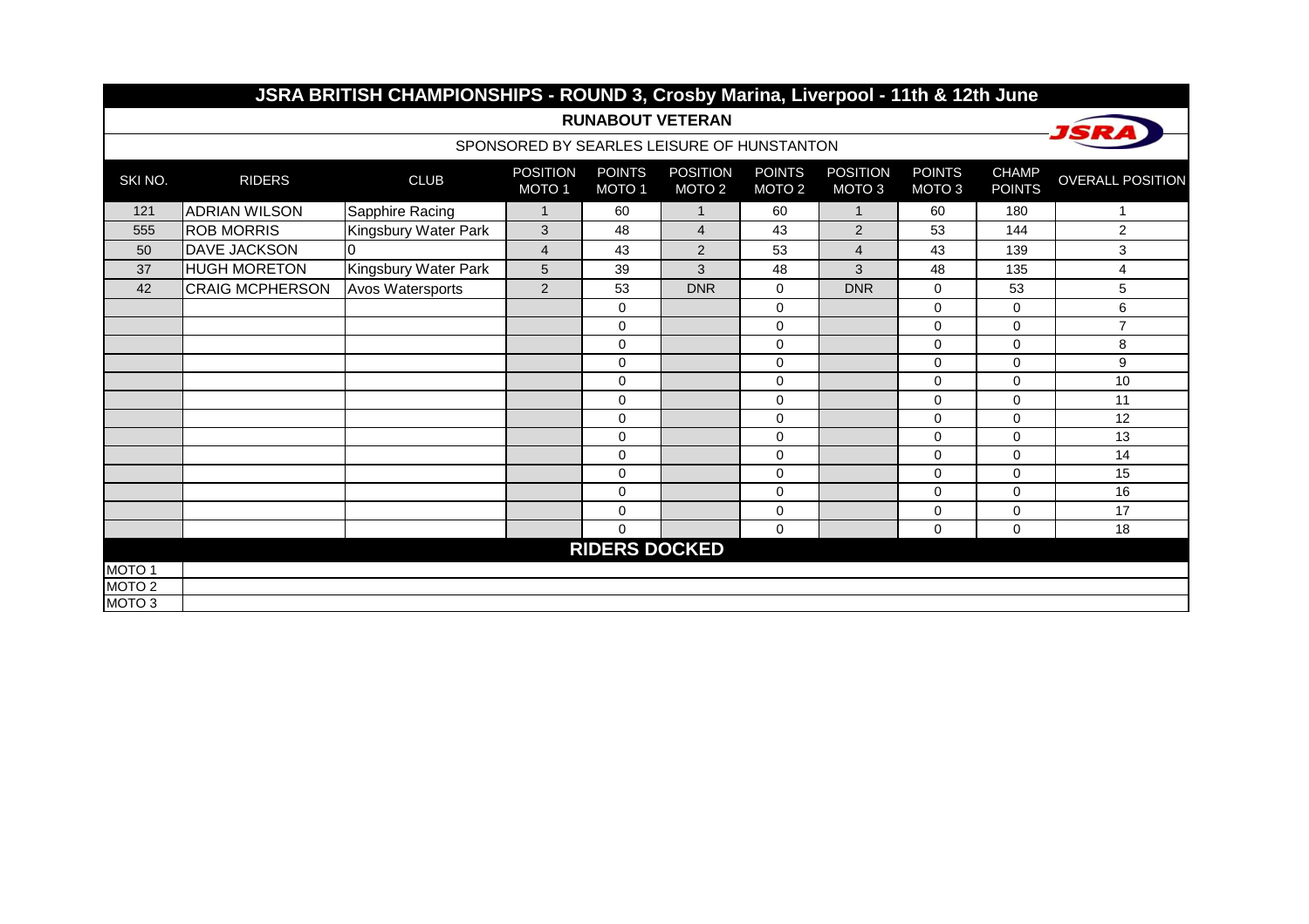|                   |                        | JSRA BRITISH CHAMPIONSHIPS - ROUND 3, Crosby Marina, Liverpool - 11th & 12th June |                                      |                         |                                            |                                    |                                      |                                    |                               |                         |
|-------------------|------------------------|-----------------------------------------------------------------------------------|--------------------------------------|-------------------------|--------------------------------------------|------------------------------------|--------------------------------------|------------------------------------|-------------------------------|-------------------------|
|                   |                        |                                                                                   |                                      | <b>RUNABOUT VETERAN</b> |                                            |                                    |                                      |                                    |                               |                         |
|                   |                        |                                                                                   |                                      |                         | SPONSORED BY SEARLES LEISURE OF HUNSTANTON |                                    |                                      |                                    |                               |                         |
| SKI NO.           | <b>RIDERS</b>          | <b>CLUB</b>                                                                       | <b>POSITION</b><br>MOTO <sub>1</sub> | <b>POINTS</b><br>MOTO 1 | <b>POSITION</b><br>MOTO <sub>2</sub>       | <b>POINTS</b><br>MOTO <sub>2</sub> | <b>POSITION</b><br>MOTO <sub>3</sub> | <b>POINTS</b><br>MOTO <sub>3</sub> | <b>CHAMP</b><br><b>POINTS</b> | <b>OVERALL POSITION</b> |
| 121               | <b>ADRIAN WILSON</b>   | Sapphire Racing                                                                   | $\mathbf{1}$                         | 60                      | $\mathbf{1}$                               | 60                                 | $\mathbf{1}$                         | 60                                 | 180                           | 1                       |
| 555               | <b>ROB MORRIS</b>      | Kingsbury Water Park                                                              | 3                                    | 48                      | $\overline{4}$                             | 43                                 | $\overline{2}$                       | 53                                 | 144                           | 2                       |
| 50                | <b>DAVE JACKSON</b>    | 0                                                                                 | $\overline{4}$                       | 43                      | 2                                          | 53                                 | $\overline{4}$                       | 43                                 | 139                           | $\sqrt{3}$              |
| 37                | <b>HUGH MORETON</b>    | Kingsbury Water Park                                                              | $5\phantom{.0}$                      | 39                      | 3                                          | 48                                 | 3                                    | 48                                 | 135                           | $\overline{4}$          |
| 42                | <b>CRAIG MCPHERSON</b> | Avos Watersports                                                                  | 2                                    | 53                      | <b>DNR</b>                                 | $\mathbf 0$                        | <b>DNR</b>                           | $\mathbf 0$                        | 53                            | 5                       |
|                   |                        |                                                                                   |                                      | 0                       |                                            | 0                                  |                                      | $\mathbf 0$                        | $\mathbf 0$                   | 6                       |
|                   |                        |                                                                                   |                                      | $\Omega$                |                                            | $\Omega$                           |                                      | $\Omega$                           | $\Omega$                      | $\overline{7}$          |
|                   |                        |                                                                                   |                                      | $\Omega$                |                                            | $\Omega$                           |                                      | $\Omega$                           | $\Omega$                      | 8                       |
|                   |                        |                                                                                   |                                      | 0                       |                                            | $\pmb{0}$                          |                                      | $\mathbf 0$                        | $\mathbf 0$                   | 9                       |
|                   |                        |                                                                                   |                                      | $\mathbf{0}$            |                                            | $\mathbf 0$                        |                                      | $\mathbf 0$                        | $\mathbf 0$                   | 10                      |
|                   |                        |                                                                                   |                                      | 0                       |                                            | $\mathbf 0$                        |                                      | $\Omega$                           | $\Omega$                      | 11                      |
|                   |                        |                                                                                   |                                      | $\Omega$                |                                            | $\Omega$                           |                                      | $\Omega$                           | $\Omega$                      | 12                      |
|                   |                        |                                                                                   |                                      | $\Omega$                |                                            | $\mathbf 0$                        |                                      | $\mathbf 0$                        | $\Omega$                      | 13                      |
|                   |                        |                                                                                   |                                      | $\Omega$                |                                            | $\Omega$                           |                                      | $\Omega$                           | $\Omega$                      | 14                      |
|                   |                        |                                                                                   |                                      | $\Omega$                |                                            | $\mathbf 0$                        |                                      | $\mathbf 0$                        | $\Omega$                      | 15                      |
|                   |                        |                                                                                   |                                      | 0                       |                                            | $\mathbf 0$                        |                                      | $\mathbf 0$                        | $\mathbf 0$                   | 16                      |
|                   |                        |                                                                                   |                                      | 0                       |                                            | $\mathbf 0$                        |                                      | 0                                  | $\mathbf 0$                   | 17                      |
|                   |                        |                                                                                   |                                      | 0                       |                                            | $\Omega$                           |                                      | $\mathbf 0$                        | $\mathbf 0$                   | 18                      |
|                   |                        |                                                                                   |                                      | <b>RIDERS DOCKED</b>    |                                            |                                    |                                      |                                    |                               |                         |
| MOTO <sub>1</sub> |                        |                                                                                   |                                      |                         |                                            |                                    |                                      |                                    |                               |                         |
| MOTO <sub>2</sub> |                        |                                                                                   |                                      |                         |                                            |                                    |                                      |                                    |                               |                         |
| MOTO <sub>3</sub> |                        |                                                                                   |                                      |                         |                                            |                                    |                                      |                                    |                               |                         |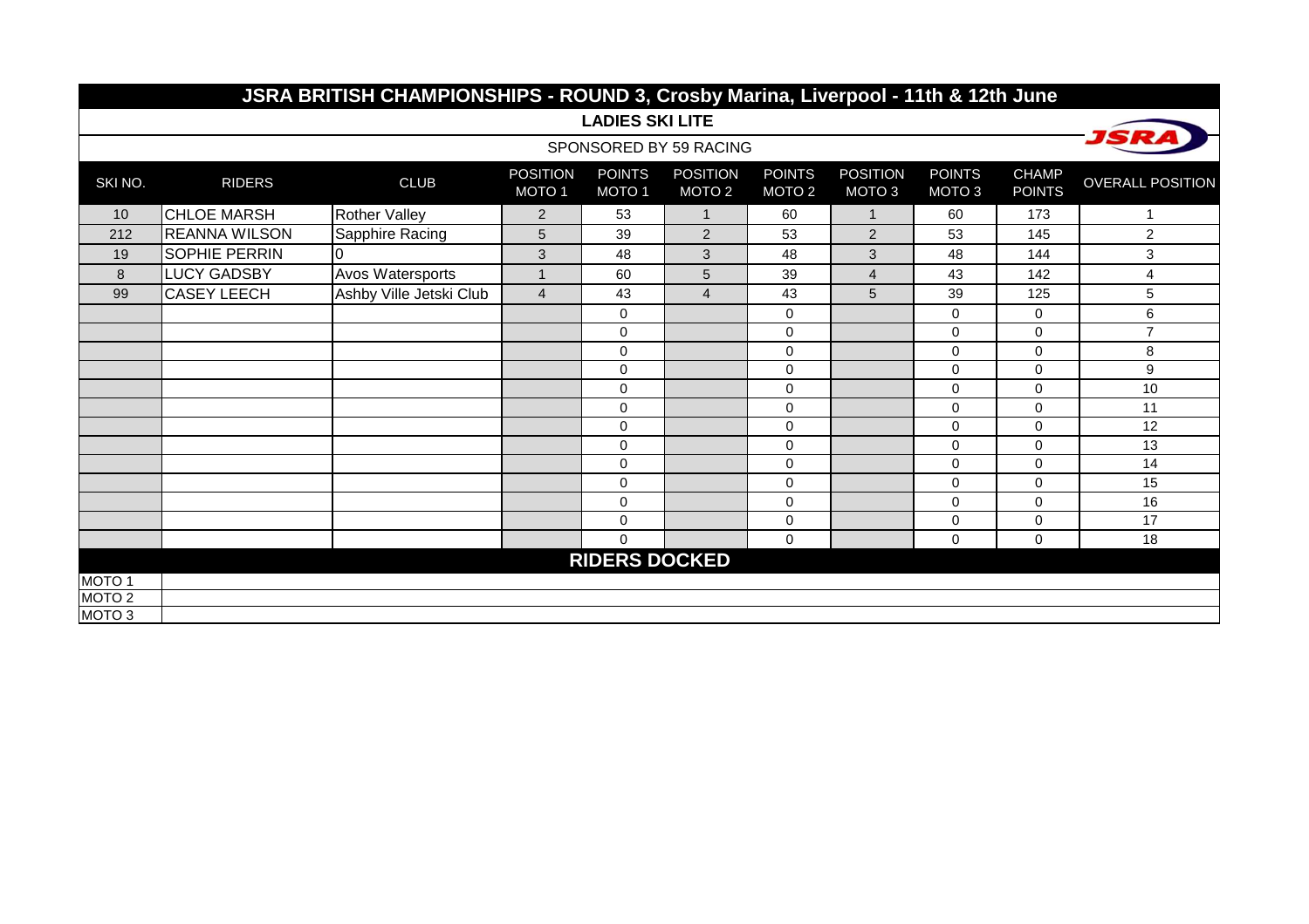|                   | JSRA BRITISH CHAMPIONSHIPS - ROUND 3, Crosby Marina, Liverpool - 11th & 12th June |                         |                                      |                                    |                                      |                                    |                                      |                         |                               |                         |  |  |  |
|-------------------|-----------------------------------------------------------------------------------|-------------------------|--------------------------------------|------------------------------------|--------------------------------------|------------------------------------|--------------------------------------|-------------------------|-------------------------------|-------------------------|--|--|--|
|                   |                                                                                   |                         |                                      | <b>LADIES SKI LITE</b>             |                                      |                                    |                                      |                         |                               |                         |  |  |  |
|                   |                                                                                   |                         |                                      |                                    | SPONSORED BY 59 RACING               |                                    |                                      |                         |                               | <i><b>ISRA</b></i>      |  |  |  |
| SKI NO.           | <b>RIDERS</b>                                                                     | <b>CLUB</b>             | <b>POSITION</b><br>MOTO <sub>1</sub> | <b>POINTS</b><br>MOTO <sub>1</sub> | <b>POSITION</b><br>MOTO <sub>2</sub> | <b>POINTS</b><br>MOTO <sub>2</sub> | <b>POSITION</b><br>MOTO <sub>3</sub> | <b>POINTS</b><br>MOTO 3 | <b>CHAMP</b><br><b>POINTS</b> | <b>OVERALL POSITION</b> |  |  |  |
| 10                | <b>CHLOE MARSH</b>                                                                | <b>Rother Valley</b>    | $\overline{2}$                       | 53                                 | $\mathbf{1}$                         | 60                                 | $\mathbf{1}$                         | 60                      | 173                           | 1                       |  |  |  |
| 212               | <b>REANNA WILSON</b>                                                              | Sapphire Racing         | 5                                    | 39                                 | $\overline{2}$                       | 53                                 | 2                                    | 53                      | 145                           | 2                       |  |  |  |
| 19                | <b>SOPHIE PERRIN</b>                                                              |                         | 3                                    | 48                                 | 3                                    | 48                                 | 3                                    | 48                      | 144                           | 3                       |  |  |  |
| 8                 | LUCY GADSBY                                                                       | Avos Watersports        | $\mathbf{1}$                         | 60                                 | $\overline{5}$                       | 39                                 | $\overline{4}$                       | 43                      | 142                           | 4                       |  |  |  |
| 99                | <b>CASEY LEECH</b>                                                                | Ashby Ville Jetski Club | $\overline{4}$                       | 43                                 | $\overline{4}$                       | 43                                 | 5                                    | 39                      | 125                           | 5                       |  |  |  |
|                   |                                                                                   |                         |                                      | $\pmb{0}$                          |                                      | $\mathbf 0$                        |                                      | $\mathbf{0}$            | 0                             | 6                       |  |  |  |
|                   |                                                                                   |                         |                                      | $\mathbf 0$                        |                                      | 0                                  |                                      | $\mathbf 0$             | $\Omega$                      | $\overline{7}$          |  |  |  |
|                   |                                                                                   |                         |                                      | $\mathbf 0$                        |                                      | 0                                  |                                      | $\mathbf 0$             | $\Omega$                      | 8                       |  |  |  |
|                   |                                                                                   |                         |                                      | $\mathbf 0$                        |                                      | $\mathbf 0$                        |                                      | 0                       | $\Omega$                      | 9                       |  |  |  |
|                   |                                                                                   |                         |                                      | $\pmb{0}$                          |                                      | $\mathbf 0$                        |                                      | $\mathbf 0$             | $\Omega$                      | 10                      |  |  |  |
|                   |                                                                                   |                         |                                      | $\mathbf 0$                        |                                      | $\mathbf 0$                        |                                      | $\mathbf 0$             | $\Omega$                      | 11                      |  |  |  |
|                   |                                                                                   |                         |                                      | $\mathbf 0$                        |                                      | $\mathbf{0}$                       |                                      | $\Omega$                | $\Omega$                      | 12                      |  |  |  |
|                   |                                                                                   |                         |                                      | $\pmb{0}$                          |                                      | $\mathbf 0$                        |                                      | $\mathbf 0$             | $\Omega$                      | 13                      |  |  |  |
|                   |                                                                                   |                         |                                      | $\mathbf 0$                        |                                      | 0                                  |                                      | $\Omega$                | $\Omega$                      | 14                      |  |  |  |
|                   |                                                                                   |                         |                                      | $\mathbf 0$                        |                                      | $\mathbf 0$                        |                                      | $\mathbf 0$             | $\Omega$                      | 15                      |  |  |  |
|                   |                                                                                   |                         |                                      | $\mathbf 0$                        |                                      | $\mathbf 0$                        |                                      | $\mathbf{0}$            | $\Omega$                      | 16                      |  |  |  |
|                   |                                                                                   |                         |                                      | $\pmb{0}$                          |                                      | $\mathbf 0$                        |                                      | $\mathbf 0$             | 0                             | 17                      |  |  |  |
|                   |                                                                                   |                         |                                      | $\mathbf 0$                        |                                      | $\mathbf 0$                        |                                      | $\mathbf 0$             | 0                             | 18                      |  |  |  |
|                   |                                                                                   |                         |                                      | <b>RIDERS DOCKED</b>               |                                      |                                    |                                      |                         |                               |                         |  |  |  |
| MOTO <sub>1</sub> |                                                                                   |                         |                                      |                                    |                                      |                                    |                                      |                         |                               |                         |  |  |  |
| MOTO <sub>2</sub> |                                                                                   |                         |                                      |                                    |                                      |                                    |                                      |                         |                               |                         |  |  |  |
| MOTO <sub>3</sub> |                                                                                   |                         |                                      |                                    |                                      |                                    |                                      |                         |                               |                         |  |  |  |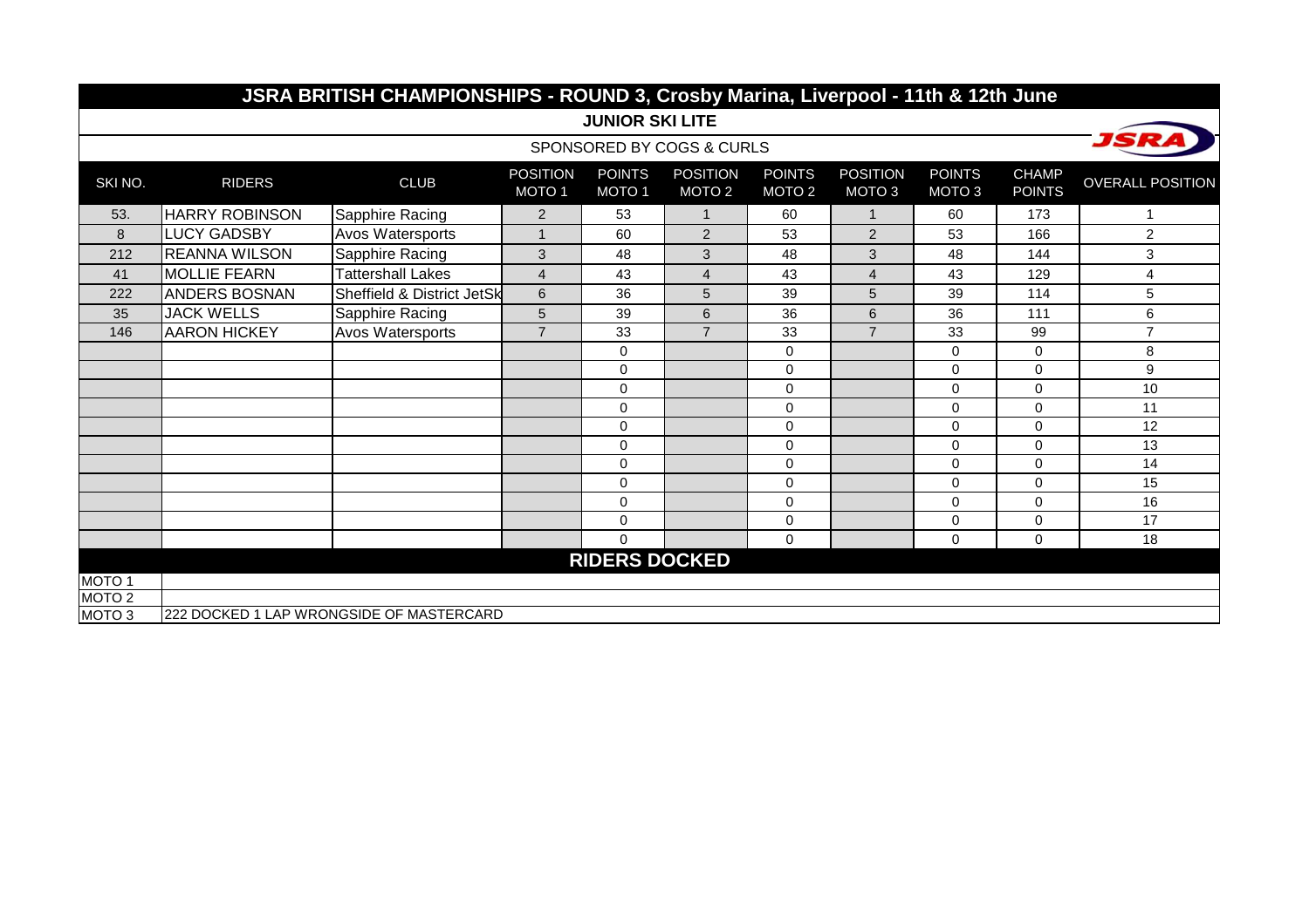|                   | JSRA BRITISH CHAMPIONSHIPS - ROUND 3, Crosby Marina, Liverpool - 11th & 12th June |                                          |                                      |                                    |                                      |                                    |                                      |                                    |                               |                         |  |  |  |
|-------------------|-----------------------------------------------------------------------------------|------------------------------------------|--------------------------------------|------------------------------------|--------------------------------------|------------------------------------|--------------------------------------|------------------------------------|-------------------------------|-------------------------|--|--|--|
|                   |                                                                                   |                                          |                                      | <b>JUNIOR SKI LITE</b>             |                                      |                                    |                                      |                                    |                               |                         |  |  |  |
|                   |                                                                                   |                                          |                                      |                                    | SPONSORED BY COGS & CURLS            |                                    |                                      |                                    |                               | JSRA                    |  |  |  |
| SKI NO.           | <b>RIDERS</b>                                                                     | <b>CLUB</b>                              | <b>POSITION</b><br>MOTO <sub>1</sub> | <b>POINTS</b><br>MOTO <sub>1</sub> | <b>POSITION</b><br>MOTO <sub>2</sub> | <b>POINTS</b><br>MOTO <sub>2</sub> | <b>POSITION</b><br>MOTO <sub>3</sub> | <b>POINTS</b><br>MOTO <sub>3</sub> | <b>CHAMP</b><br><b>POINTS</b> | <b>OVERALL POSITION</b> |  |  |  |
| 53.               | <b>HARRY ROBINSON</b>                                                             | Sapphire Racing                          | $\overline{2}$                       | 53                                 | 1                                    | 60                                 | $\mathbf{1}$                         | 60                                 | 173                           | 1                       |  |  |  |
| 8                 | <b>LUCY GADSBY</b>                                                                | Avos Watersports                         | 1                                    | 60                                 | $\overline{2}$                       | 53                                 | $\overline{2}$                       | 53                                 | 166                           | $\overline{2}$          |  |  |  |
| 212               | <b>REANNA WILSON</b>                                                              | Sapphire Racing                          | 3                                    | 48                                 | 3                                    | 48                                 | 3                                    | 48                                 | 144                           | 3                       |  |  |  |
| 41                | <b>MOLLIE FEARN</b>                                                               | <b>Tattershall Lakes</b>                 | $\overline{4}$                       | 43                                 | $\overline{4}$                       | 43                                 | $\overline{4}$                       | 43                                 | 129                           | $\overline{4}$          |  |  |  |
| 222               | <b>ANDERS BOSNAN</b>                                                              | Sheffield & District JetSk               | $\,6\,$                              | 36                                 | 5                                    | 39                                 | 5                                    | 39                                 | 114                           | 5                       |  |  |  |
| 35                | <b>JACK WELLS</b>                                                                 | Sapphire Racing                          | 5                                    | 39                                 | 6                                    | 36                                 | 6                                    | 36                                 | 111                           | 6                       |  |  |  |
| 146               | <b>AARON HICKEY</b>                                                               | Avos Watersports                         | $\overline{7}$                       | 33                                 | $\overline{7}$                       | 33                                 | $\overline{7}$                       | 33                                 | 99                            | $\overline{7}$          |  |  |  |
|                   |                                                                                   |                                          |                                      | $\Omega$                           |                                      | 0                                  |                                      | 0                                  | $\Omega$                      | 8                       |  |  |  |
|                   |                                                                                   |                                          |                                      | $\Omega$                           |                                      | $\mathbf 0$                        |                                      | 0                                  | $\Omega$                      | 9                       |  |  |  |
|                   |                                                                                   |                                          |                                      | $\Omega$                           |                                      | 0                                  |                                      | 0                                  | $\Omega$                      | 10                      |  |  |  |
|                   |                                                                                   |                                          |                                      | $\Omega$                           |                                      | $\mathbf 0$                        |                                      | 0                                  | $\Omega$                      | 11                      |  |  |  |
|                   |                                                                                   |                                          |                                      | 0                                  |                                      | $\mathbf 0$                        |                                      | 0                                  | $\Omega$                      | 12                      |  |  |  |
|                   |                                                                                   |                                          |                                      | $\mathbf 0$                        |                                      | 0                                  |                                      | 0                                  | $\mathbf 0$                   | 13                      |  |  |  |
|                   |                                                                                   |                                          |                                      | $\Omega$                           |                                      | $\mathbf 0$                        |                                      | 0                                  | $\Omega$                      | 14                      |  |  |  |
|                   |                                                                                   |                                          |                                      | $\mathbf 0$                        |                                      | $\pmb{0}$                          |                                      | 0                                  | $\mathbf 0$                   | 15                      |  |  |  |
|                   |                                                                                   |                                          |                                      | $\Omega$                           |                                      | 0                                  |                                      | 0                                  | $\Omega$                      | 16                      |  |  |  |
|                   |                                                                                   |                                          |                                      | 0                                  |                                      | 0                                  |                                      | 0                                  | $\mathbf 0$                   | 17                      |  |  |  |
|                   |                                                                                   |                                          |                                      | $\Omega$                           |                                      | $\Omega$                           |                                      | 0                                  | $\Omega$                      | 18                      |  |  |  |
|                   |                                                                                   |                                          |                                      | <b>RIDERS DOCKED</b>               |                                      |                                    |                                      |                                    |                               |                         |  |  |  |
| MOTO <sub>1</sub> |                                                                                   |                                          |                                      |                                    |                                      |                                    |                                      |                                    |                               |                         |  |  |  |
| MOTO <sub>2</sub> |                                                                                   |                                          |                                      |                                    |                                      |                                    |                                      |                                    |                               |                         |  |  |  |
| MOTO <sub>3</sub> |                                                                                   | 222 DOCKED 1 LAP WRONGSIDE OF MASTERCARD |                                      |                                    |                                      |                                    |                                      |                                    |                               |                         |  |  |  |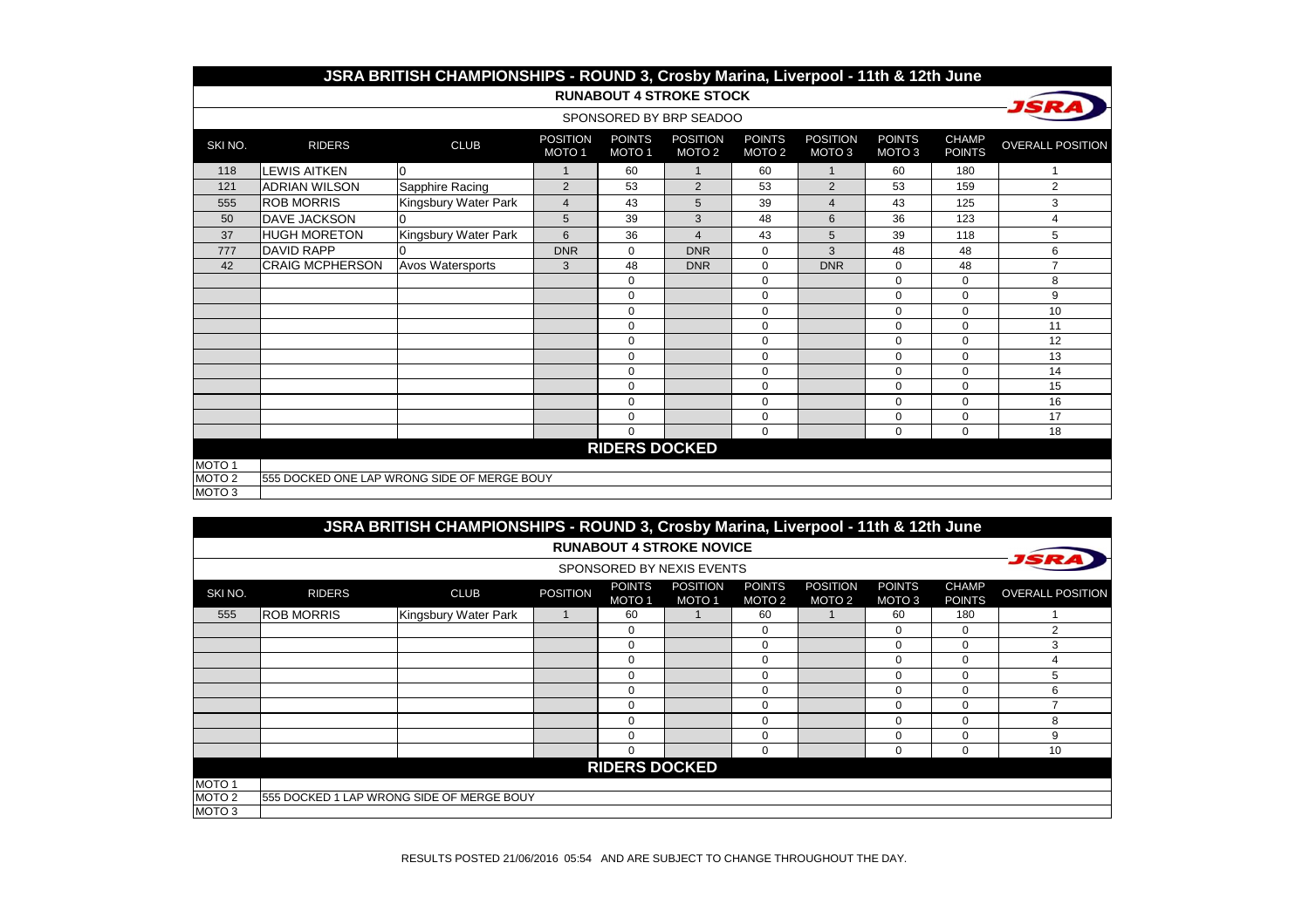|                   |                        | JSRA BRITISH CHAMPIONSHIPS - ROUND 3, Crosby Marina, Liverpool - 11th & 12th June |                                      |                                    |                                      |                                    |                                      |                                    |                               |                         |
|-------------------|------------------------|-----------------------------------------------------------------------------------|--------------------------------------|------------------------------------|--------------------------------------|------------------------------------|--------------------------------------|------------------------------------|-------------------------------|-------------------------|
|                   |                        |                                                                                   |                                      |                                    | <b>RUNABOUT 4 STROKE STOCK</b>       |                                    |                                      |                                    |                               |                         |
|                   |                        |                                                                                   |                                      |                                    | SPONSORED BY BRP SEADOO              |                                    |                                      |                                    |                               |                         |
| SKI NO.           | <b>RIDERS</b>          | <b>CLUB</b>                                                                       | <b>POSITION</b><br>MOTO <sub>1</sub> | <b>POINTS</b><br>MOTO <sub>1</sub> | <b>POSITION</b><br>MOTO <sub>2</sub> | <b>POINTS</b><br>MOTO <sub>2</sub> | <b>POSITION</b><br>MOTO <sub>3</sub> | <b>POINTS</b><br>MOTO <sub>3</sub> | <b>CHAMP</b><br><b>POINTS</b> | <b>OVERALL POSITION</b> |
| 118               | <b>LEWIS AITKEN</b>    | $\overline{0}$                                                                    | 1                                    | 60                                 | 1                                    | 60                                 | $\mathbf{1}$                         | 60                                 | 180                           | 1                       |
| 121               | <b>ADRIAN WILSON</b>   | Sapphire Racing                                                                   | $\overline{2}$                       | 53                                 | $\overline{2}$                       | 53                                 | $\overline{2}$                       | 53                                 | 159                           | $\overline{2}$          |
| 555               | <b>ROB MORRIS</b>      | Kingsbury Water Park                                                              | 4                                    | 43                                 | 5                                    | 39                                 | $\overline{4}$                       | 43                                 | 125                           | 3                       |
| 50                | <b>DAVE JACKSON</b>    | n                                                                                 | 5                                    | 39                                 | 3                                    | 48                                 | 6                                    | 36                                 | 123                           | 4                       |
| 37                | <b>HUGH MORETON</b>    | Kingsbury Water Park                                                              | 6                                    | 36                                 | $\overline{\mathbf{4}}$              | 43                                 | 5                                    | 39                                 | 118                           | 5                       |
| 777               | <b>DAVID RAPP</b>      |                                                                                   | <b>DNR</b>                           | $\Omega$                           | <b>DNR</b>                           | $\mathbf 0$                        | 3                                    | 48                                 | 48                            | 6                       |
| 42                | <b>CRAIG MCPHERSON</b> | Avos Watersports                                                                  | 3                                    | 48                                 | <b>DNR</b>                           | $\mathbf 0$                        | <b>DNR</b>                           | 0                                  | 48                            | $\overline{7}$          |
|                   |                        |                                                                                   |                                      | $\Omega$                           |                                      | $\mathbf 0$                        |                                      | $\Omega$                           | $\Omega$                      | 8                       |
|                   |                        |                                                                                   |                                      | $\Omega$                           |                                      | $\mathbf 0$                        |                                      | $\Omega$                           | $\Omega$                      | 9                       |
|                   |                        |                                                                                   |                                      | $\Omega$                           |                                      | $\mathbf 0$                        |                                      | $\mathbf 0$                        | $\Omega$                      | 10                      |
|                   |                        |                                                                                   |                                      | $\mathbf 0$                        |                                      | 0                                  |                                      | 0                                  | $\Omega$                      | 11                      |
|                   |                        |                                                                                   |                                      | $\mathbf 0$                        |                                      | $\mathbf 0$                        |                                      | $\Omega$                           | $\Omega$                      | 12                      |
|                   |                        |                                                                                   |                                      | $\Omega$                           |                                      | $\mathbf 0$                        |                                      | $\mathbf 0$                        | $\Omega$                      | 13                      |
|                   |                        |                                                                                   |                                      | $\Omega$                           |                                      | $\mathbf 0$                        |                                      | $\Omega$                           | $\Omega$                      | 14                      |
|                   |                        |                                                                                   |                                      | $\mathbf 0$                        |                                      | $\mathbf 0$                        |                                      | 0                                  | $\mathbf 0$                   | 15                      |
|                   |                        |                                                                                   |                                      | $\mathbf 0$                        |                                      | $\mathbf 0$                        |                                      | $\mathbf 0$                        | $\mathbf 0$                   | 16                      |
|                   |                        |                                                                                   |                                      | $\Omega$                           |                                      | $\mathbf 0$                        |                                      | $\Omega$                           | $\Omega$                      | 17                      |
|                   |                        |                                                                                   |                                      | $\Omega$                           |                                      | $\Omega$                           |                                      | $\Omega$                           | $\mathbf 0$                   | 18                      |
|                   |                        |                                                                                   |                                      | <b>RIDERS DOCKED</b>               |                                      |                                    |                                      |                                    |                               |                         |
| MOTO <sub>1</sub> |                        |                                                                                   |                                      |                                    |                                      |                                    |                                      |                                    |                               |                         |
| MOTO <sub>2</sub> |                        | 555 DOCKED ONE LAP WRONG SIDE OF MERGE BOUY                                       |                                      |                                    |                                      |                                    |                                      |                                    |                               |                         |
| MOTO <sub>3</sub> |                        |                                                                                   |                                      |                                    |                                      |                                    |                                      |                                    |                               |                         |

|                   |                                     | JSRA BRITISH CHAMPIONSHIPS - ROUND 3, Crosby Marina, Liverpool - 11th & 12th June |                 |                                    |                                 |                                    |                                      |                         |                               |                         |  |  |  |  |
|-------------------|-------------------------------------|-----------------------------------------------------------------------------------|-----------------|------------------------------------|---------------------------------|------------------------------------|--------------------------------------|-------------------------|-------------------------------|-------------------------|--|--|--|--|
|                   |                                     |                                                                                   |                 |                                    | <b>RUNABOUT 4 STROKE NOVICE</b> |                                    |                                      |                         |                               |                         |  |  |  |  |
|                   |                                     |                                                                                   |                 |                                    | SPONSORED BY NEXIS EVENTS       |                                    |                                      |                         |                               |                         |  |  |  |  |
| SKI NO.           | <b>RIDERS</b>                       | <b>CLUB</b>                                                                       | <b>POSITION</b> | <b>POINTS</b><br>MOTO <sub>1</sub> | <b>POSITION</b><br><b>MOTO1</b> | <b>POINTS</b><br>MOTO <sub>2</sub> | <b>POSITION</b><br>MOTO <sub>2</sub> | <b>POINTS</b><br>MOTO 3 | <b>CHAMP</b><br><b>POINTS</b> | <b>OVERALL POSITION</b> |  |  |  |  |
| 555               | <b>IROB MORRIS</b>                  | Kingsbury Water Park                                                              |                 | 60                                 |                                 | 60                                 |                                      | 60                      | 180                           |                         |  |  |  |  |
|                   |                                     |                                                                                   |                 | 0                                  |                                 | 0                                  |                                      | 0                       | 0                             | 2                       |  |  |  |  |
|                   |                                     |                                                                                   |                 | 0                                  |                                 | 0                                  |                                      | 0                       | $\mathbf 0$                   | 3                       |  |  |  |  |
|                   | $\Omega$<br>0<br>$\Omega$<br>0<br>4 |                                                                                   |                 |                                    |                                 |                                    |                                      |                         |                               |                         |  |  |  |  |
|                   |                                     |                                                                                   |                 | 0                                  |                                 | 0                                  |                                      | $\Omega$                | $\Omega$                      | 5                       |  |  |  |  |
|                   |                                     |                                                                                   |                 | $\Omega$                           |                                 | 0                                  |                                      | $\Omega$                | $\Omega$                      | 6                       |  |  |  |  |
|                   |                                     |                                                                                   |                 | $\Omega$                           |                                 | 0                                  |                                      | $\Omega$                | $\Omega$                      |                         |  |  |  |  |
|                   |                                     |                                                                                   |                 | $\Omega$                           |                                 | 0                                  |                                      | $\Omega$                | $\Omega$                      | 8                       |  |  |  |  |
|                   |                                     |                                                                                   |                 | 0                                  |                                 | 0                                  |                                      | 0                       | $\mathbf 0$                   | 9                       |  |  |  |  |
|                   |                                     |                                                                                   |                 | 0                                  |                                 | 0                                  |                                      | 0                       | $\mathbf 0$                   | 10                      |  |  |  |  |
|                   |                                     |                                                                                   |                 | <b>RIDERS DOCKED</b>               |                                 |                                    |                                      |                         |                               |                         |  |  |  |  |
| MOTO <sub>1</sub> |                                     |                                                                                   |                 |                                    |                                 |                                    |                                      |                         |                               |                         |  |  |  |  |
| MOTO <sub>2</sub> |                                     | 555 DOCKED 1 LAP WRONG SIDE OF MERGE BOUY                                         |                 |                                    |                                 |                                    |                                      |                         |                               |                         |  |  |  |  |
| MOTO <sub>3</sub> |                                     |                                                                                   |                 |                                    |                                 |                                    |                                      |                         |                               |                         |  |  |  |  |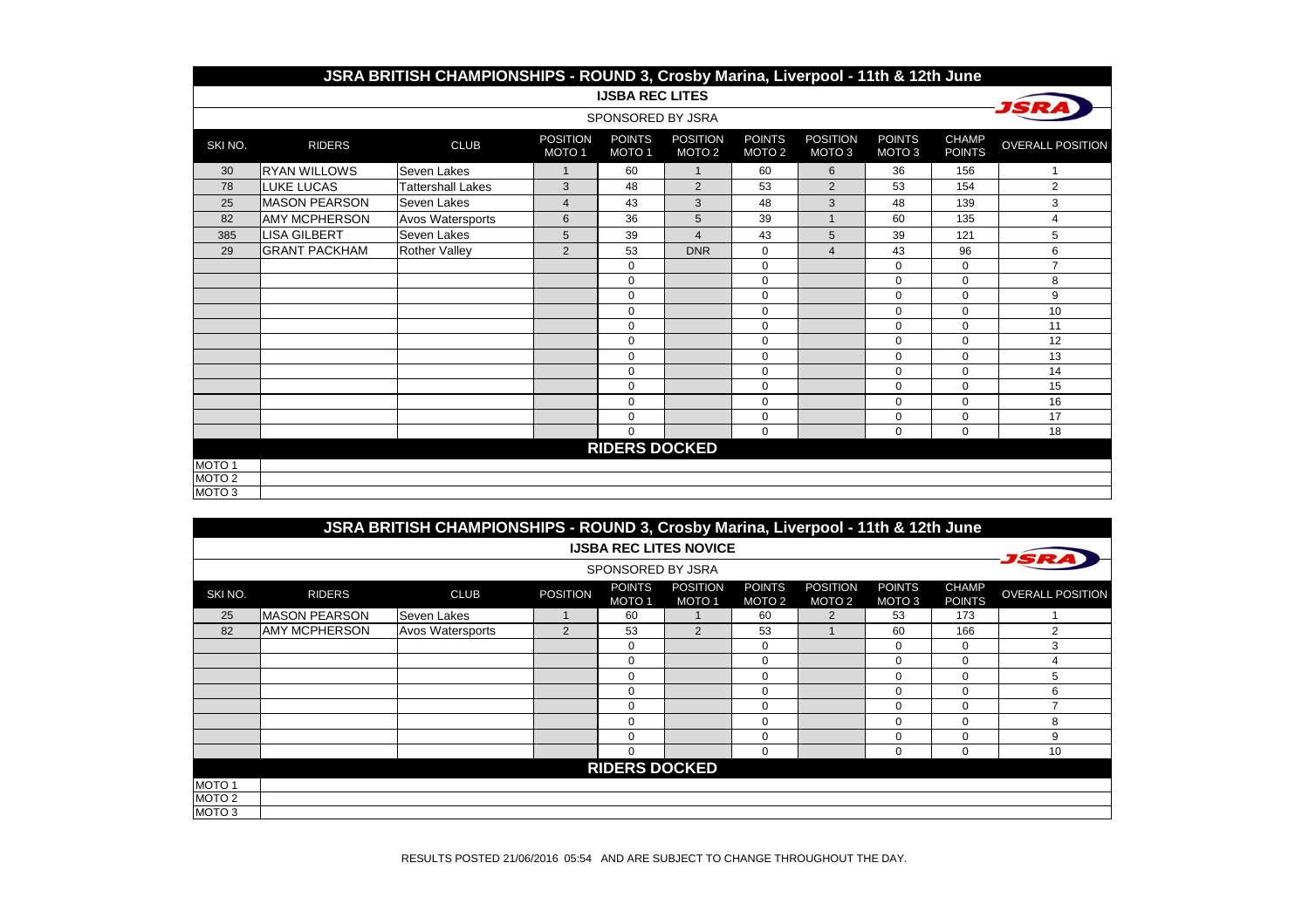|                   | JSRA BRITISH CHAMPIONSHIPS - ROUND 3, Crosby Marina, Liverpool - 11th & 12th June                                                    |                          |                                      |                                    |                                      |                                    |                                      |                                    |                               |                         |  |  |  |  |
|-------------------|--------------------------------------------------------------------------------------------------------------------------------------|--------------------------|--------------------------------------|------------------------------------|--------------------------------------|------------------------------------|--------------------------------------|------------------------------------|-------------------------------|-------------------------|--|--|--|--|
|                   |                                                                                                                                      |                          |                                      | <b>IJSBA REC LITES</b>             |                                      |                                    |                                      |                                    |                               |                         |  |  |  |  |
|                   |                                                                                                                                      |                          |                                      | SPONSORED BY JSRA                  |                                      |                                    |                                      |                                    |                               |                         |  |  |  |  |
| SKI NO.           | <b>RIDERS</b>                                                                                                                        | <b>CLUB</b>              | <b>POSITION</b><br>MOTO <sub>1</sub> | <b>POINTS</b><br>MOTO <sub>1</sub> | <b>POSITION</b><br>MOTO <sub>2</sub> | <b>POINTS</b><br>MOTO <sub>2</sub> | <b>POSITION</b><br>MOTO <sub>3</sub> | <b>POINTS</b><br>MOTO <sub>3</sub> | <b>CHAMP</b><br><b>POINTS</b> | <b>OVERALL POSITION</b> |  |  |  |  |
| 30                | <b>RYAN WILLOWS</b>                                                                                                                  | Seven Lakes              | $\mathbf{1}$                         | 60                                 | $\mathbf{1}$                         | 60                                 | 6                                    | 36                                 | 156                           |                         |  |  |  |  |
| 78                | <b>LUKE LUCAS</b>                                                                                                                    | <b>Tattershall Lakes</b> | 3                                    | 48                                 | $\overline{2}$                       | 53                                 | $\overline{2}$                       | 53                                 | 154                           | $\overline{2}$          |  |  |  |  |
| 25                | <b>MASON PEARSON</b>                                                                                                                 | Seven Lakes              | $\overline{4}$                       | 43                                 | 3                                    | 48                                 | 3                                    | 48                                 | 139                           | 3                       |  |  |  |  |
| 82                | <b>AMY MCPHERSON</b>                                                                                                                 | Avos Watersports         | $6\phantom{1}$                       | 36                                 | 5                                    | 39                                 |                                      | 60                                 | 135                           | 4                       |  |  |  |  |
| 385               | <b>LISA GILBERT</b>                                                                                                                  | Seven Lakes              | 5                                    | 39                                 | $\overline{\mathbf{4}}$              | 43                                 | 5                                    | 39                                 | 121                           | 5                       |  |  |  |  |
| 29                | <b>GRANT PACKHAM</b><br><b>DNR</b><br>6<br><b>Rother Valley</b><br>$\overline{2}$<br>53<br>$\mathbf 0$<br>43<br>96<br>$\overline{4}$ |                          |                                      |                                    |                                      |                                    |                                      |                                    |                               |                         |  |  |  |  |
|                   |                                                                                                                                      |                          |                                      | $\mathbf 0$                        |                                      | 0                                  |                                      | $\mathbf 0$                        | $\mathbf 0$                   | $\overline{7}$          |  |  |  |  |
|                   |                                                                                                                                      |                          |                                      | $\Omega$                           |                                      | $\pmb{0}$                          |                                      | $\mathbf 0$                        | $\Omega$                      | 8                       |  |  |  |  |
|                   |                                                                                                                                      |                          |                                      | $\Omega$                           |                                      | 0                                  |                                      | $\Omega$                           | $\Omega$                      | 9                       |  |  |  |  |
|                   |                                                                                                                                      |                          |                                      | $\mathbf 0$                        |                                      | $\mathbf 0$                        |                                      | $\mathbf 0$                        | $\Omega$                      | 10                      |  |  |  |  |
|                   |                                                                                                                                      |                          |                                      | $\Omega$                           |                                      | 0                                  |                                      | $\mathbf 0$                        | $\Omega$                      | 11                      |  |  |  |  |
|                   |                                                                                                                                      |                          |                                      | $\mathbf 0$                        |                                      | $\mathbf 0$                        |                                      | $\mathbf 0$                        | $\Omega$                      | 12                      |  |  |  |  |
|                   |                                                                                                                                      |                          |                                      | $\mathbf 0$                        |                                      | $\mathbf 0$                        |                                      | $\mathbf 0$                        | $\Omega$                      | 13                      |  |  |  |  |
|                   |                                                                                                                                      |                          |                                      | $\mathbf 0$                        |                                      | 0                                  |                                      | $\mathbf 0$                        | $\Omega$                      | 14                      |  |  |  |  |
|                   |                                                                                                                                      |                          |                                      | $\Omega$                           |                                      | $\mathbf 0$                        |                                      | $\mathbf 0$                        | $\Omega$                      | 15                      |  |  |  |  |
|                   |                                                                                                                                      |                          |                                      | $\mathbf 0$                        |                                      | $\mathbf 0$                        |                                      | $\Omega$                           | $\Omega$                      | 16                      |  |  |  |  |
|                   |                                                                                                                                      |                          |                                      | $\mathbf 0$                        |                                      | 0                                  |                                      | $\mathbf 0$                        | $\mathbf 0$                   | 17                      |  |  |  |  |
|                   |                                                                                                                                      |                          |                                      | $\Omega$                           |                                      | $\mathbf 0$                        |                                      | 0                                  | $\mathbf 0$                   | 18                      |  |  |  |  |
|                   |                                                                                                                                      |                          |                                      | <b>RIDERS DOCKED</b>               |                                      |                                    |                                      |                                    |                               |                         |  |  |  |  |
| MOTO <sub>1</sub> |                                                                                                                                      |                          |                                      |                                    |                                      |                                    |                                      |                                    |                               |                         |  |  |  |  |
| MOTO <sub>2</sub> |                                                                                                                                      |                          |                                      |                                    |                                      |                                    |                                      |                                    |                               |                         |  |  |  |  |
| MOTO <sub>3</sub> |                                                                                                                                      |                          |                                      |                                    |                                      |                                    |                                      |                                    |                               |                         |  |  |  |  |

|                   |                      | JSRA BRITISH CHAMPIONSHIPS - ROUND 3, Crosby Marina, Liverpool - 11th & 12th June |                 |                                    |                                      |                                    |                                      |                         |                               |                         |
|-------------------|----------------------|-----------------------------------------------------------------------------------|-----------------|------------------------------------|--------------------------------------|------------------------------------|--------------------------------------|-------------------------|-------------------------------|-------------------------|
|                   |                      |                                                                                   |                 |                                    | <b>IJSBA REC LITES NOVICE</b>        |                                    |                                      |                         |                               |                         |
|                   |                      |                                                                                   |                 | SPONSORED BY JSRA                  |                                      |                                    |                                      |                         |                               |                         |
| SKI NO.           | <b>RIDERS</b>        | <b>CLUB</b>                                                                       | <b>POSITION</b> | <b>POINTS</b><br>MOTO <sub>1</sub> | <b>POSITION</b><br>MOTO <sub>1</sub> | <b>POINTS</b><br>MOTO <sub>2</sub> | <b>POSITION</b><br>MOTO <sub>2</sub> | <b>POINTS</b><br>MOTO 3 | <b>CHAMP</b><br><b>POINTS</b> | <b>OVERALL POSITION</b> |
| 25                | <b>MASON PEARSON</b> | Seven Lakes                                                                       |                 | 60                                 |                                      | 60                                 | $\overline{2}$                       | 53                      | 173                           |                         |
| 82                | <b>AMY MCPHERSON</b> | <b>Avos Watersports</b>                                                           | 2               | 53                                 | 2                                    | 53                                 |                                      | 60                      | 166                           | $\overline{2}$          |
|                   |                      |                                                                                   |                 | $\mathbf 0$                        |                                      | 0                                  |                                      | 0                       | $\Omega$                      | 3                       |
|                   |                      |                                                                                   |                 | $\mathbf 0$                        |                                      | 0                                  |                                      | $\Omega$                | $\Omega$                      | 4                       |
|                   |                      |                                                                                   |                 | $\Omega$                           |                                      | 0                                  |                                      | $\Omega$                | $\Omega$                      | 5                       |
|                   |                      |                                                                                   |                 | $\mathbf 0$                        |                                      | 0                                  |                                      | $\Omega$                | $\Omega$                      | 6                       |
|                   |                      |                                                                                   |                 | $\Omega$                           |                                      | 0                                  |                                      | $\Omega$                | $\Omega$                      | ⇁                       |
|                   |                      |                                                                                   |                 | $\mathbf 0$                        |                                      | 0                                  |                                      | $\Omega$                | $\Omega$                      | 8                       |
|                   |                      |                                                                                   |                 | $\Omega$                           |                                      | 0                                  |                                      | $\Omega$                | $\Omega$                      | 9                       |
|                   |                      |                                                                                   |                 | 0                                  |                                      | 0                                  |                                      | $\Omega$                | $\Omega$                      | 10                      |
|                   |                      |                                                                                   |                 | <b>RIDERS DOCKED</b>               |                                      |                                    |                                      |                         |                               |                         |
| MOTO <sub>1</sub> |                      |                                                                                   |                 |                                    |                                      |                                    |                                      |                         |                               |                         |
| MOTO <sub>2</sub> |                      |                                                                                   |                 |                                    |                                      |                                    |                                      |                         |                               |                         |
| MOTO <sub>3</sub> |                      |                                                                                   |                 |                                    |                                      |                                    |                                      |                         |                               |                         |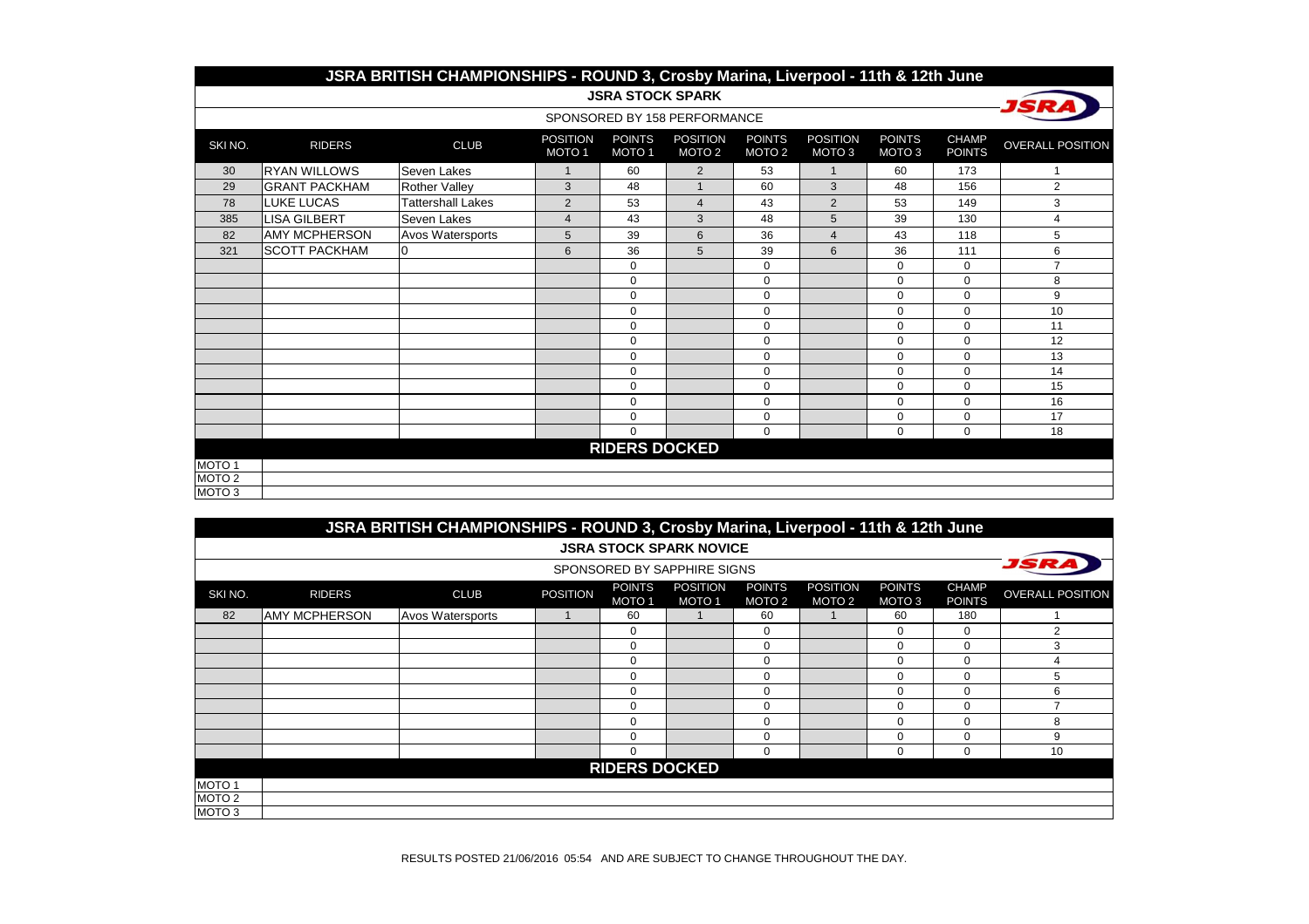|                   | JSRA BRITISH CHAMPIONSHIPS - ROUND 3, Crosby Marina, Liverpool - 11th & 12th June<br><b>JSRA STOCK SPARK</b> |                      |                                      |                                    |                                      |                                    |                           |                                    |                               |                         |  |  |  |  |
|-------------------|--------------------------------------------------------------------------------------------------------------|----------------------|--------------------------------------|------------------------------------|--------------------------------------|------------------------------------|---------------------------|------------------------------------|-------------------------------|-------------------------|--|--|--|--|
|                   |                                                                                                              |                      |                                      |                                    |                                      |                                    |                           |                                    |                               |                         |  |  |  |  |
|                   |                                                                                                              |                      |                                      |                                    | SPONSORED BY 158 PERFORMANCE         |                                    |                           |                                    |                               |                         |  |  |  |  |
| SKI NO.           | <b>RIDERS</b>                                                                                                | <b>CLUB</b>          | <b>POSITION</b><br>MOTO <sub>1</sub> | <b>POINTS</b><br>MOTO <sub>1</sub> | <b>POSITION</b><br>MOTO <sub>2</sub> | <b>POINTS</b><br>MOTO <sub>2</sub> | <b>POSITION</b><br>MOTO 3 | <b>POINTS</b><br>MOTO <sub>3</sub> | <b>CHAMP</b><br><b>POINTS</b> | <b>OVERALL POSITION</b> |  |  |  |  |
| 30                | <b>RYAN WILLOWS</b>                                                                                          | Seven Lakes          | $\mathbf{1}$                         | 60                                 | $\overline{2}$                       | 53                                 | $\overline{1}$            | 60                                 | 173                           | $\mathbf{1}$            |  |  |  |  |
| 29                | <b>GRANT PACKHAM</b>                                                                                         | <b>Rother Valley</b> | 3                                    | 48                                 | $\mathbf 1$                          | 60                                 | 3                         | 48                                 | 156                           | $\overline{2}$          |  |  |  |  |
| 78                | <b>LUKE LUCAS</b>                                                                                            | Tattershall Lakes    | $\overline{2}$                       | 53                                 | $\overline{4}$                       | 43                                 | 2                         | 53                                 | 149                           | 3                       |  |  |  |  |
| 385               | <b>LISA GILBERT</b>                                                                                          | Seven Lakes          | $\overline{4}$                       | 43                                 | 3                                    | 48                                 | 5                         | 39                                 | 130                           | 4                       |  |  |  |  |
| 82                | <b>AMY MCPHERSON</b>                                                                                         | Avos Watersports     | 5                                    | 39                                 | 6                                    | 36                                 | $\overline{4}$            | 43                                 | 118                           | 5                       |  |  |  |  |
| 321               | <b>SCOTT PACKHAM</b>                                                                                         |                      | 6                                    | 36                                 | 5                                    | 39                                 | 6                         | 36                                 | 111                           | 6                       |  |  |  |  |
|                   |                                                                                                              |                      |                                      | 0                                  |                                      | 0                                  |                           | $\mathbf 0$                        | $\mathbf 0$                   | $\overline{7}$          |  |  |  |  |
|                   |                                                                                                              |                      |                                      | $\Omega$                           |                                      | 0                                  |                           | $\Omega$                           | $\Omega$                      | 8                       |  |  |  |  |
|                   |                                                                                                              |                      |                                      | 0                                  |                                      | $\mathbf 0$                        |                           | $\mathbf 0$                        | 0                             | 9                       |  |  |  |  |
|                   |                                                                                                              |                      |                                      | 0                                  |                                      | 0                                  |                           | $\Omega$                           | $\Omega$                      | 10                      |  |  |  |  |
|                   |                                                                                                              |                      |                                      | 0                                  |                                      | $\mathbf 0$                        |                           | $\mathbf 0$                        | 0                             | 11                      |  |  |  |  |
|                   |                                                                                                              |                      |                                      | 0                                  |                                      | $\mathbf 0$                        |                           | $\mathbf 0$                        | 0                             | 12                      |  |  |  |  |
|                   |                                                                                                              |                      |                                      | 0                                  |                                      | $\mathbf 0$                        |                           | $\mathbf 0$                        | $\Omega$                      | 13                      |  |  |  |  |
|                   |                                                                                                              |                      |                                      | 0                                  |                                      | $\mathbf 0$                        |                           | $\mathbf 0$                        | 0                             | 14                      |  |  |  |  |
|                   |                                                                                                              |                      |                                      | $\Omega$                           |                                      | $\mathbf 0$                        |                           | $\Omega$                           | $\Omega$                      | 15                      |  |  |  |  |
|                   |                                                                                                              |                      |                                      | 0                                  |                                      | $\mathbf 0$                        |                           | $\Omega$                           | $\Omega$                      | 16                      |  |  |  |  |
|                   |                                                                                                              |                      |                                      | $\mathbf 0$                        |                                      | 0                                  |                           | $\mathbf 0$                        | 0                             | 17                      |  |  |  |  |
|                   |                                                                                                              |                      |                                      | $\mathbf 0$                        |                                      | 0                                  |                           | 0                                  | 0                             | 18                      |  |  |  |  |
|                   | <b>RIDERS DOCKED</b>                                                                                         |                      |                                      |                                    |                                      |                                    |                           |                                    |                               |                         |  |  |  |  |
| MOTO 1            |                                                                                                              |                      |                                      |                                    |                                      |                                    |                           |                                    |                               |                         |  |  |  |  |
| MOTO <sub>2</sub> |                                                                                                              |                      |                                      |                                    |                                      |                                    |                           |                                    |                               |                         |  |  |  |  |
| MOTO 3            |                                                                                                              |                      |                                      |                                    |                                      |                                    |                           |                                    |                               |                         |  |  |  |  |

|                   |                      | JSRA BRITISH CHAMPIONSHIPS - ROUND 3, Crosby Marina, Liverpool - 11th & 12th June |                 |                                    |                                 |                                    |                                      |                         |                               |                         |
|-------------------|----------------------|-----------------------------------------------------------------------------------|-----------------|------------------------------------|---------------------------------|------------------------------------|--------------------------------------|-------------------------|-------------------------------|-------------------------|
|                   |                      |                                                                                   |                 |                                    | <b>JSRA STOCK SPARK NOVICE</b>  |                                    |                                      |                         |                               |                         |
|                   |                      |                                                                                   |                 |                                    | SPONSORED BY SAPPHIRE SIGNS     |                                    |                                      |                         |                               |                         |
| SKI NO.           | <b>RIDERS</b>        | <b>CLUB</b>                                                                       | <b>POSITION</b> | <b>POINTS</b><br>MOTO <sub>1</sub> | <b>POSITION</b><br><b>MOTO1</b> | <b>POINTS</b><br>MOTO <sub>2</sub> | <b>POSITION</b><br>MOTO <sub>2</sub> | <b>POINTS</b><br>MOTO 3 | <b>CHAMP</b><br><b>POINTS</b> | <b>OVERALL POSITION</b> |
| 82                | <b>AMY MCPHERSON</b> | <b>Avos Watersports</b>                                                           |                 | 60                                 |                                 | 60                                 |                                      | 60                      | 180                           |                         |
|                   |                      |                                                                                   |                 | 0                                  |                                 | $\mathbf 0$                        |                                      | 0                       | $\Omega$                      | 2                       |
|                   |                      |                                                                                   |                 | 0                                  |                                 | $\mathbf 0$                        |                                      | 0                       | $\Omega$                      | 3                       |
|                   |                      |                                                                                   |                 | $\Omega$                           |                                 | $\Omega$                           |                                      | 0                       | $\Omega$                      | 4                       |
|                   |                      |                                                                                   |                 | $\Omega$                           |                                 | $\Omega$                           |                                      | $\Omega$                | $\Omega$                      | 5                       |
|                   |                      |                                                                                   |                 | $\Omega$                           |                                 | $\Omega$                           |                                      | $\Omega$                | $\Omega$                      | 6                       |
|                   |                      |                                                                                   |                 | $\Omega$                           |                                 | $\Omega$                           |                                      | $\Omega$                | $\Omega$                      |                         |
|                   |                      |                                                                                   |                 | $\mathbf 0$                        |                                 | $\mathbf 0$                        |                                      | 0                       | $\Omega$                      | 8                       |
|                   |                      |                                                                                   |                 | $\Omega$                           |                                 | $\Omega$                           |                                      | $\Omega$                | $\Omega$                      | 9                       |
|                   |                      |                                                                                   |                 | 0                                  |                                 | $\Omega$                           |                                      | $\Omega$                | $\Omega$                      | 10                      |
|                   |                      |                                                                                   |                 | <b>RIDERS DOCKED</b>               |                                 |                                    |                                      |                         |                               |                         |
| MOTO <sub>1</sub> |                      |                                                                                   |                 |                                    |                                 |                                    |                                      |                         |                               |                         |
| MOTO <sub>2</sub> |                      |                                                                                   |                 |                                    |                                 |                                    |                                      |                         |                               |                         |
| MOTO <sub>3</sub> |                      |                                                                                   |                 |                                    |                                 |                                    |                                      |                         |                               |                         |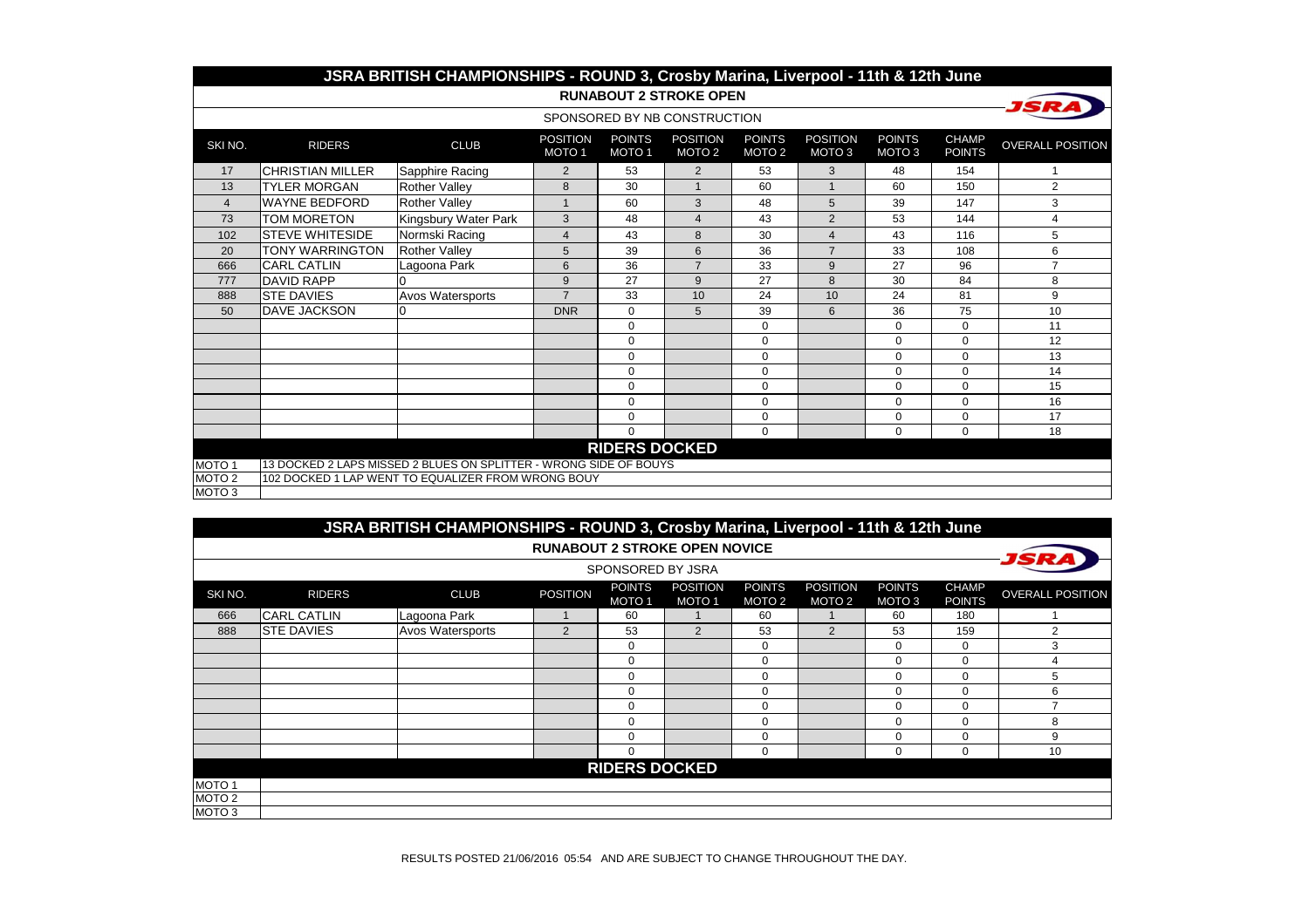|                   |                         | JSRA BRITISH CHAMPIONSHIPS - ROUND 3, Crosby Marina, Liverpool - 11th & 12th June |                                      |                                    |                                      |                                    |                                      |                                    |                               |                         |
|-------------------|-------------------------|-----------------------------------------------------------------------------------|--------------------------------------|------------------------------------|--------------------------------------|------------------------------------|--------------------------------------|------------------------------------|-------------------------------|-------------------------|
|                   |                         |                                                                                   |                                      |                                    | <b>RUNABOUT 2 STROKE OPEN</b>        |                                    |                                      |                                    |                               |                         |
|                   |                         |                                                                                   |                                      |                                    | SPONSORED BY NB CONSTRUCTION         |                                    |                                      |                                    |                               |                         |
| SKI NO.           | <b>RIDERS</b>           | <b>CLUB</b>                                                                       | <b>POSITION</b><br>MOTO <sub>1</sub> | <b>POINTS</b><br>MOTO <sub>1</sub> | <b>POSITION</b><br>MOTO <sub>2</sub> | <b>POINTS</b><br>MOTO <sub>2</sub> | <b>POSITION</b><br>MOTO <sub>3</sub> | <b>POINTS</b><br>MOTO <sub>3</sub> | <b>CHAMP</b><br><b>POINTS</b> | <b>OVERALL POSITION</b> |
| 17                | <b>CHRISTIAN MILLER</b> | Sapphire Racing                                                                   | $\overline{2}$                       | 53                                 | $\overline{2}$                       | 53                                 | 3                                    | 48                                 | 154                           | 1                       |
| 13                | <b>TYLER MORGAN</b>     | <b>Rother Valley</b>                                                              | 8                                    | 30                                 | $\mathbf{1}$                         | 60                                 | $\mathbf{1}$                         | 60                                 | 150                           | $\overline{2}$          |
| $\overline{4}$    | <b>WAYNE BEDFORD</b>    | <b>Rother Valley</b>                                                              | $\overline{1}$                       | 60                                 | 3                                    | 48                                 | 5                                    | 39                                 | 147                           | 3                       |
| 73                | <b>TOM MORETON</b>      | Kingsbury Water Park                                                              | 3                                    | 48                                 | $\overline{4}$                       | 43                                 | 2                                    | 53                                 | 144                           | 4                       |
| 102               | <b>STEVE WHITESIDE</b>  | Normski Racing                                                                    | $\overline{4}$                       | 43                                 | 8                                    | 30                                 | $\overline{\mathbf{4}}$              | 43                                 | 116                           | 5                       |
| 20                | <b>TONY WARRINGTON</b>  | <b>Rother Valley</b>                                                              | 5                                    | 39                                 | 6                                    | 36                                 | $\overline{7}$                       | 33                                 | 108                           | 6                       |
| 666               | <b>CARL CATLIN</b>      | Lagoona Park                                                                      | 6                                    | 36                                 | $\overline{7}$                       | 33                                 | 9                                    | 27                                 | 96                            | $\overline{7}$          |
| 777               | <b>DAVID RAPP</b>       |                                                                                   | 9                                    | 27                                 | 9                                    | 27                                 | 8                                    | 30                                 | 84                            | 8                       |
| 888               | <b>STE DAVIES</b>       | <b>Avos Watersports</b>                                                           | $\overline{7}$                       | 33                                 | 10                                   | 24                                 | 10                                   | 24                                 | 81                            | 9                       |
| 50                | <b>DAVE JACKSON</b>     |                                                                                   | <b>DNR</b>                           | $\Omega$                           | 5                                    | 39                                 | 6                                    | 36                                 | 75                            | 10                      |
|                   |                         |                                                                                   |                                      | $\mathbf 0$                        |                                      | $\mathbf 0$                        |                                      | 0                                  | $\Omega$                      | 11                      |
|                   |                         |                                                                                   |                                      | $\mathbf 0$                        |                                      | 0                                  |                                      | $\Omega$                           | $\Omega$                      | 12                      |
|                   |                         |                                                                                   |                                      | $\mathbf 0$                        |                                      | $\mathbf 0$                        |                                      | $\mathbf 0$                        | $\Omega$                      | 13                      |
|                   |                         |                                                                                   |                                      | $\mathbf 0$                        |                                      | $\mathbf 0$                        |                                      | $\Omega$                           | $\Omega$                      | 14                      |
|                   |                         |                                                                                   |                                      | $\mathbf 0$                        |                                      | $\mathbf 0$                        |                                      | $\mathbf 0$                        | $\Omega$                      | 15                      |
|                   |                         |                                                                                   |                                      | $\mathbf 0$                        |                                      | $\mathbf 0$                        |                                      | 0                                  | $\Omega$                      | 16                      |
|                   |                         |                                                                                   |                                      | $\Omega$                           |                                      | 0                                  |                                      | $\Omega$                           | $\Omega$                      | 17                      |
|                   |                         |                                                                                   |                                      | $\Omega$                           |                                      | $\Omega$                           |                                      | 0                                  | 0                             | 18                      |
|                   |                         |                                                                                   |                                      | <b>RIDERS DOCKED</b>               |                                      |                                    |                                      |                                    |                               |                         |
| MOTO <sub>1</sub> |                         | 13 DOCKED 2 LAPS MISSED 2 BLUES ON SPLITTER - WRONG SIDE OF BOUYS                 |                                      |                                    |                                      |                                    |                                      |                                    |                               |                         |
| MOTO <sub>2</sub> |                         | 102 DOCKED 1 LAP WENT TO EQUALIZER FROM WRONG BOUY                                |                                      |                                    |                                      |                                    |                                      |                                    |                               |                         |
| MOTO <sub>3</sub> |                         |                                                                                   |                                      |                                    |                                      |                                    |                                      |                                    |                               |                         |

|                   |                    | JSRA BRITISH CHAMPIONSHIPS - ROUND 3, Crosby Marina, Liverpool - 11th & 12th June |                 |                         |                                      |                                    |                                      |                         |                               |                         |  |  |
|-------------------|--------------------|-----------------------------------------------------------------------------------|-----------------|-------------------------|--------------------------------------|------------------------------------|--------------------------------------|-------------------------|-------------------------------|-------------------------|--|--|
|                   |                    |                                                                                   |                 |                         | <b>RUNABOUT 2 STROKE OPEN NOVICE</b> |                                    |                                      |                         |                               |                         |  |  |
|                   | SPONSORED BY JSRA  |                                                                                   |                 |                         |                                      |                                    |                                      |                         |                               |                         |  |  |
| SKI NO.           | <b>RIDERS</b>      | <b>CLUB</b>                                                                       | <b>POSITION</b> | <b>POINTS</b><br>MOTO 1 | <b>POSITION</b><br>MOTO <sub>1</sub> | <b>POINTS</b><br>MOTO <sub>2</sub> | <b>POSITION</b><br>MOTO <sub>2</sub> | <b>POINTS</b><br>MOTO 3 | <b>CHAMP</b><br><b>POINTS</b> | <b>OVERALL POSITION</b> |  |  |
| 666               | <b>CARL CATLIN</b> | Lagoona Park                                                                      |                 | 60                      |                                      | 60                                 |                                      | 60                      | 180                           |                         |  |  |
| 888               | <b>STE DAVIES</b>  | Avos Watersports                                                                  | $\overline{2}$  | 53                      | $\overline{2}$                       | 53                                 | 2                                    | 53                      | 159                           | $\overline{2}$          |  |  |
|                   |                    |                                                                                   |                 | $\mathbf 0$             |                                      | 0                                  |                                      | 0                       | $\Omega$                      | 3                       |  |  |
|                   |                    |                                                                                   |                 | $\mathbf 0$             |                                      | 0                                  |                                      | 0                       | $\Omega$                      | 4                       |  |  |
|                   |                    |                                                                                   |                 | $\mathbf 0$             |                                      | 0                                  |                                      | 0                       | $\mathbf 0$                   | 5                       |  |  |
|                   |                    |                                                                                   |                 | $\mathbf 0$             |                                      | 0                                  |                                      | 0                       | $\Omega$                      | 6                       |  |  |
|                   |                    |                                                                                   |                 | $\mathbf 0$             |                                      | 0                                  |                                      | 0                       | $\Omega$                      | $\overline{ }$          |  |  |
|                   |                    |                                                                                   |                 | $\Omega$                |                                      | 0                                  |                                      | $\Omega$                | $\Omega$                      | 8                       |  |  |
|                   |                    |                                                                                   |                 | $\Omega$                |                                      | 0                                  |                                      | $\Omega$                | $\Omega$                      | 9                       |  |  |
|                   |                    |                                                                                   |                 | $\mathbf 0$             |                                      | 0                                  |                                      | $\Omega$                | $\mathbf 0$                   | 10                      |  |  |
|                   |                    |                                                                                   |                 | <b>RIDERS DOCKED</b>    |                                      |                                    |                                      |                         |                               |                         |  |  |
| MOTO <sub>1</sub> |                    |                                                                                   |                 |                         |                                      |                                    |                                      |                         |                               |                         |  |  |
| MOTO <sub>2</sub> |                    |                                                                                   |                 |                         |                                      |                                    |                                      |                         |                               |                         |  |  |
| MOTO 3            |                    |                                                                                   |                 |                         |                                      |                                    |                                      |                         |                               |                         |  |  |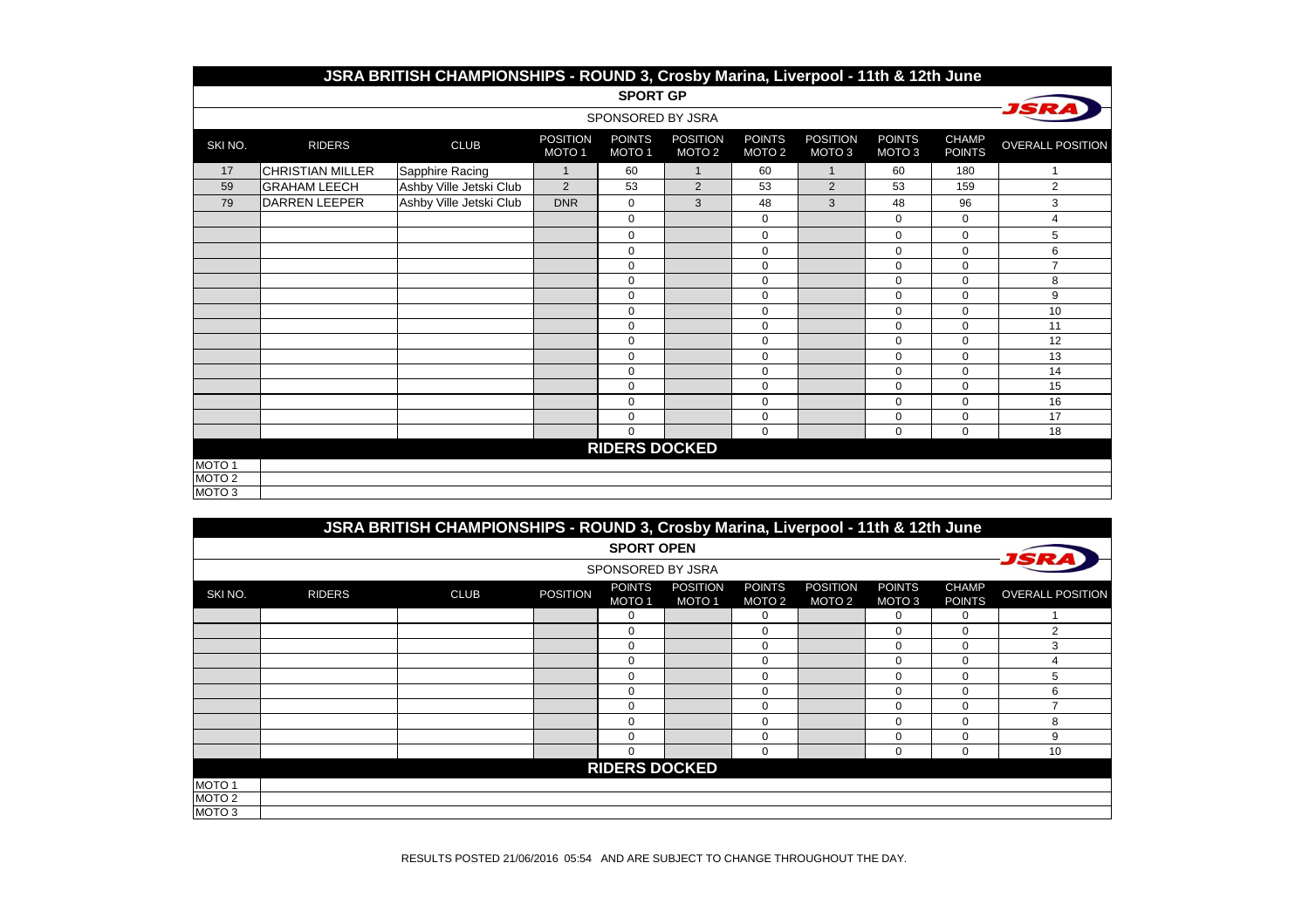|                   | JSRA BRITISH CHAMPIONSHIPS - ROUND 3, Crosby Marina, Liverpool - 11th & 12th June |                         |                                      |                                    |                                      |                                    |                                      |                         |                               |                         |  |  |  |
|-------------------|-----------------------------------------------------------------------------------|-------------------------|--------------------------------------|------------------------------------|--------------------------------------|------------------------------------|--------------------------------------|-------------------------|-------------------------------|-------------------------|--|--|--|
|                   | <b>SPORT GP</b>                                                                   |                         |                                      |                                    |                                      |                                    |                                      |                         |                               |                         |  |  |  |
|                   |                                                                                   |                         |                                      | SPONSORED BY JSRA                  |                                      |                                    |                                      |                         |                               |                         |  |  |  |
| SKI NO.           | <b>RIDERS</b>                                                                     | <b>CLUB</b>             | <b>POSITION</b><br>MOTO <sub>1</sub> | <b>POINTS</b><br>MOTO <sub>1</sub> | <b>POSITION</b><br>MOTO <sub>2</sub> | <b>POINTS</b><br>MOTO <sub>2</sub> | <b>POSITION</b><br>MOTO <sub>3</sub> | <b>POINTS</b><br>MOTO 3 | <b>CHAMP</b><br><b>POINTS</b> | <b>OVERALL POSITION</b> |  |  |  |
| 17                | <b>CHRISTIAN MILLER</b>                                                           | Sapphire Racing         | $\mathbf{1}$                         | 60                                 | $\mathbf{1}$                         | 60                                 | $\mathbf{1}$                         | 60                      | 180                           | $\mathbf{1}$            |  |  |  |
| 59                | <b>GRAHAM LEECH</b>                                                               | Ashby Ville Jetski Club | 2                                    | 53                                 | 2                                    | 53                                 | 2                                    | 53                      | 159                           | $\overline{2}$          |  |  |  |
| 79                | <b>DARREN LEEPER</b>                                                              | Ashby Ville Jetski Club | <b>DNR</b>                           | $\mathbf 0$                        | 3                                    | 48                                 | 3                                    | 48                      | 96                            | 3                       |  |  |  |
|                   |                                                                                   |                         |                                      | $\mathbf 0$                        |                                      | 0                                  |                                      | 0                       | $\mathbf 0$                   | 4                       |  |  |  |
|                   |                                                                                   |                         |                                      | $\mathbf 0$                        |                                      | $\mathbf 0$                        |                                      | 0                       | $\Omega$                      | 5                       |  |  |  |
|                   |                                                                                   |                         |                                      | $\mathbf 0$                        |                                      | 0                                  |                                      | 0                       | $\Omega$                      | 6                       |  |  |  |
|                   |                                                                                   |                         |                                      | $\mathbf 0$                        |                                      | 0                                  |                                      | $\mathbf 0$             | $\mathbf 0$                   | $\overline{7}$          |  |  |  |
|                   |                                                                                   |                         |                                      | $\mathbf 0$                        |                                      | 0                                  |                                      | $\mathbf 0$             | $\mathbf 0$                   | 8                       |  |  |  |
|                   |                                                                                   |                         |                                      | $\mathbf 0$                        |                                      | $\mathbf 0$                        |                                      | $\mathbf 0$             | $\Omega$                      | 9                       |  |  |  |
|                   |                                                                                   |                         |                                      | $\mathbf 0$                        |                                      | $\mathbf 0$                        |                                      | 0                       | $\mathbf 0$                   | 10                      |  |  |  |
|                   |                                                                                   |                         |                                      | $\mathbf 0$                        |                                      | $\mathbf 0$                        |                                      | $\mathbf 0$             | $\mathbf 0$                   | 11                      |  |  |  |
|                   |                                                                                   |                         |                                      | $\mathbf 0$                        |                                      | $\mathbf 0$                        |                                      | $\mathbf 0$             | $\mathbf 0$                   | 12                      |  |  |  |
|                   |                                                                                   |                         |                                      | $\mathbf 0$                        |                                      | 0                                  |                                      | $\mathbf 0$             | $\mathbf 0$                   | 13                      |  |  |  |
|                   |                                                                                   |                         |                                      | $\mathbf 0$                        |                                      | $\mathbf 0$                        |                                      | 0                       | $\Omega$                      | 14                      |  |  |  |
|                   |                                                                                   |                         |                                      | $\mathbf 0$                        |                                      | $\mathbf 0$                        |                                      | $\mathbf 0$             | $\Omega$                      | 15                      |  |  |  |
|                   |                                                                                   |                         |                                      | $\mathbf 0$                        |                                      | $\mathbf 0$                        |                                      | $\mathbf 0$             | $\Omega$                      | 16                      |  |  |  |
|                   |                                                                                   |                         |                                      | $\mathbf 0$                        |                                      | $\mathbf 0$                        |                                      | 0                       | $\mathbf 0$                   | 17                      |  |  |  |
|                   |                                                                                   |                         |                                      | $\mathbf 0$                        |                                      | $\mathbf 0$                        |                                      | 0                       | $\mathbf 0$                   | 18                      |  |  |  |
|                   |                                                                                   |                         |                                      | <b>RIDERS DOCKED</b>               |                                      |                                    |                                      |                         |                               |                         |  |  |  |
| MOTO <sub>1</sub> |                                                                                   |                         |                                      |                                    |                                      |                                    |                                      |                         |                               |                         |  |  |  |
| MOTO <sub>2</sub> |                                                                                   |                         |                                      |                                    |                                      |                                    |                                      |                         |                               |                         |  |  |  |
| MOTO <sub>3</sub> |                                                                                   |                         |                                      |                                    |                                      |                                    |                                      |                         |                               |                         |  |  |  |

|                   | JSRA BRITISH CHAMPIONSHIPS - ROUND 3, Crosby Marina, Liverpool - 11th & 12th June |             |                 |                                    |                                      |                                    |                                      |                         |                               |                          |  |  |
|-------------------|-----------------------------------------------------------------------------------|-------------|-----------------|------------------------------------|--------------------------------------|------------------------------------|--------------------------------------|-------------------------|-------------------------------|--------------------------|--|--|
|                   |                                                                                   |             |                 | <b>SPORT OPEN</b>                  |                                      |                                    |                                      |                         |                               |                          |  |  |
|                   | SPONSORED BY JSRA                                                                 |             |                 |                                    |                                      |                                    |                                      |                         |                               |                          |  |  |
| SKI NO.           | <b>RIDERS</b>                                                                     | <b>CLUB</b> | <b>POSITION</b> | <b>POINTS</b><br>MOTO <sub>1</sub> | <b>POSITION</b><br>MOTO <sub>1</sub> | <b>POINTS</b><br>MOTO <sub>2</sub> | <b>POSITION</b><br>MOTO <sub>2</sub> | <b>POINTS</b><br>MOTO 3 | <b>CHAMP</b><br><b>POINTS</b> | <b>OVERALL POSITION</b>  |  |  |
|                   |                                                                                   |             |                 | $\Omega$                           |                                      | $\Omega$                           |                                      | 0                       |                               |                          |  |  |
|                   |                                                                                   |             |                 | $\Omega$                           |                                      | $\Omega$                           |                                      | $\mathbf 0$             | $\cap$                        |                          |  |  |
|                   |                                                                                   |             |                 | $\Omega$                           |                                      | $\Omega$                           |                                      | 0                       |                               |                          |  |  |
|                   |                                                                                   |             |                 | $\Omega$                           |                                      | 0                                  |                                      | $\mathbf 0$             |                               |                          |  |  |
|                   |                                                                                   |             |                 | $\Omega$                           |                                      | 0                                  |                                      | 0                       |                               | 5                        |  |  |
|                   |                                                                                   |             |                 | $\Omega$                           |                                      | $\Omega$                           |                                      | 0                       |                               | 6                        |  |  |
|                   |                                                                                   |             |                 | $\Omega$                           |                                      | 0                                  |                                      | $\mathbf 0$             | $\Omega$                      | $\overline{\phantom{a}}$ |  |  |
|                   |                                                                                   |             |                 | $\Omega$                           |                                      | 0                                  |                                      | 0                       | C                             | 8                        |  |  |
|                   |                                                                                   |             |                 | $\Omega$                           |                                      | 0                                  |                                      | 0                       |                               | 9                        |  |  |
|                   |                                                                                   |             |                 | 0                                  |                                      | $\mathbf 0$                        |                                      | $\mathbf 0$             | $\Omega$                      | 10                       |  |  |
|                   | <b>RIDERS DOCKED</b>                                                              |             |                 |                                    |                                      |                                    |                                      |                         |                               |                          |  |  |
| MOTO <sub>1</sub> |                                                                                   |             |                 |                                    |                                      |                                    |                                      |                         |                               |                          |  |  |
| MOTO <sub>2</sub> |                                                                                   |             |                 |                                    |                                      |                                    |                                      |                         |                               |                          |  |  |
| MOTO <sub>3</sub> |                                                                                   |             |                 |                                    |                                      |                                    |                                      |                         |                               |                          |  |  |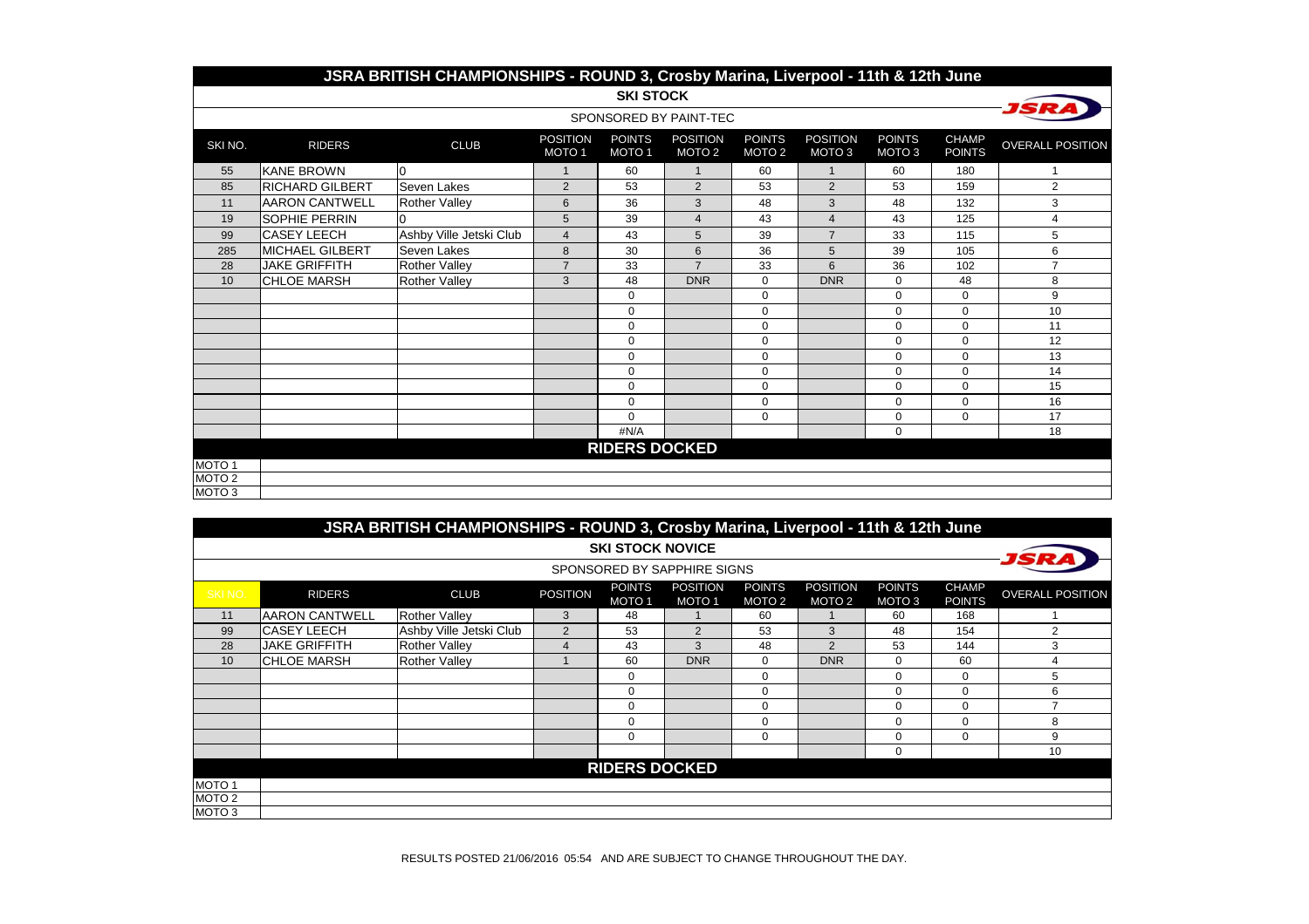|                   | JSRA BRITISH CHAMPIONSHIPS - ROUND 3, Crosby Marina, Liverpool - 11th & 12th June |                         |                                      |                                    |                                      |                                    |                                      |                                    |                               |                         |  |  |  |
|-------------------|-----------------------------------------------------------------------------------|-------------------------|--------------------------------------|------------------------------------|--------------------------------------|------------------------------------|--------------------------------------|------------------------------------|-------------------------------|-------------------------|--|--|--|
|                   |                                                                                   |                         |                                      | <b>SKI STOCK</b>                   |                                      |                                    |                                      |                                    |                               |                         |  |  |  |
|                   |                                                                                   |                         |                                      |                                    | SPONSORED BY PAINT-TEC               |                                    |                                      |                                    |                               |                         |  |  |  |
| SKI NO.           | <b>RIDERS</b>                                                                     | <b>CLUB</b>             | <b>POSITION</b><br>MOTO <sub>1</sub> | <b>POINTS</b><br>MOTO <sub>1</sub> | <b>POSITION</b><br>MOTO <sub>2</sub> | <b>POINTS</b><br>MOTO <sub>2</sub> | <b>POSITION</b><br>MOTO <sub>3</sub> | <b>POINTS</b><br>MOTO <sub>3</sub> | <b>CHAMP</b><br><b>POINTS</b> | <b>OVERALL POSITION</b> |  |  |  |
| 55                | <b>KANE BROWN</b>                                                                 | l0                      | $\overline{1}$                       | 60                                 | $\mathbf{1}$                         | 60                                 | $\overline{1}$                       | 60                                 | 180                           |                         |  |  |  |
| 85                | <b>RICHARD GILBERT</b>                                                            | Seven Lakes             | $\overline{2}$                       | 53                                 | 2                                    | 53                                 | $\overline{2}$                       | 53                                 | 159                           | $\overline{2}$          |  |  |  |
| 11                | <b>AARON CANTWELL</b>                                                             | <b>Rother Valley</b>    | 6                                    | 36                                 | 3                                    | 48                                 | 3                                    | 48                                 | 132                           | 3                       |  |  |  |
| 19                | <b>SOPHIE PERRIN</b>                                                              |                         | 5                                    | 39                                 | 4                                    | 43                                 | 4                                    | 43                                 | 125                           | 4                       |  |  |  |
| 99                | <b>CASEY LEECH</b>                                                                | Ashby Ville Jetski Club | $\overline{4}$                       | 43                                 | 5                                    | 39                                 | $\overline{7}$                       | 33                                 | 115                           | 5                       |  |  |  |
| 285               | MICHAEL GILBERT                                                                   | Seven Lakes             | 8                                    | 30                                 | 6                                    | 36                                 | 5                                    | 39                                 | 105                           | 6                       |  |  |  |
| 28                | <b>JAKE GRIFFITH</b>                                                              | <b>Rother Valley</b>    | $\overline{7}$                       | 33                                 | $\overline{7}$                       | 33                                 | 6                                    | 36                                 | 102                           | $\overline{7}$          |  |  |  |
| 10                | <b>CHLOE MARSH</b>                                                                | <b>Rother Valley</b>    | 3                                    | 48                                 | <b>DNR</b>                           | $\mathbf 0$                        | <b>DNR</b>                           | $\mathbf 0$                        | 48                            | 8                       |  |  |  |
|                   |                                                                                   |                         |                                      | $\Omega$                           |                                      | $\mathbf 0$                        |                                      | $\mathbf 0$                        | $\Omega$                      | 9                       |  |  |  |
|                   |                                                                                   |                         |                                      | $\Omega$                           |                                      | $\pmb{0}$                          |                                      | $\Omega$                           | $\Omega$                      | 10                      |  |  |  |
|                   |                                                                                   |                         |                                      | $\mathbf 0$                        |                                      | 0                                  |                                      | $\mathbf 0$                        | $\Omega$                      | 11                      |  |  |  |
|                   |                                                                                   |                         |                                      | $\mathbf 0$                        |                                      | 0                                  |                                      | $\mathbf 0$                        | $\Omega$                      | 12                      |  |  |  |
|                   |                                                                                   |                         |                                      | $\mathbf 0$                        |                                      | 0                                  |                                      | $\mathbf 0$                        | $\Omega$                      | 13                      |  |  |  |
|                   |                                                                                   |                         |                                      | $\mathbf 0$                        |                                      | 0                                  |                                      | 0                                  | $\Omega$                      | 14                      |  |  |  |
|                   |                                                                                   |                         |                                      | $\Omega$                           |                                      | $\mathbf 0$                        |                                      | $\mathbf 0$                        | $\Omega$                      | 15                      |  |  |  |
|                   |                                                                                   |                         |                                      | $\Omega$                           |                                      | $\mathbf 0$                        |                                      | $\mathbf 0$                        | $\Omega$                      | 16                      |  |  |  |
|                   |                                                                                   |                         |                                      | $\Omega$                           |                                      | 0                                  |                                      | 0                                  | $\mathbf 0$                   | 17                      |  |  |  |
|                   |                                                                                   |                         |                                      | #N/A                               |                                      |                                    |                                      | $\mathbf 0$                        |                               | 18                      |  |  |  |
|                   |                                                                                   |                         |                                      | <b>RIDERS DOCKED</b>               |                                      |                                    |                                      |                                    |                               |                         |  |  |  |
| MOTO <sub>1</sub> |                                                                                   |                         |                                      |                                    |                                      |                                    |                                      |                                    |                               |                         |  |  |  |
| MOTO <sub>2</sub> |                                                                                   |                         |                                      |                                    |                                      |                                    |                                      |                                    |                               |                         |  |  |  |
| MOTO <sub>3</sub> |                                                                                   |                         |                                      |                                    |                                      |                                    |                                      |                                    |                               |                         |  |  |  |

|                   | JSRA BRITISH CHAMPIONSHIPS - ROUND 3, Crosby Marina, Liverpool - 11th & 12th June |                         |                 |                                    |                                 |                                    |                                      |                                    |                        |                         |  |  |
|-------------------|-----------------------------------------------------------------------------------|-------------------------|-----------------|------------------------------------|---------------------------------|------------------------------------|--------------------------------------|------------------------------------|------------------------|-------------------------|--|--|
|                   |                                                                                   |                         |                 | <b>SKI STOCK NOVICE</b>            |                                 |                                    |                                      |                                    |                        |                         |  |  |
|                   | SPONSORED BY SAPPHIRE SIGNS                                                       |                         |                 |                                    |                                 |                                    |                                      |                                    |                        |                         |  |  |
| SKINO.            | <b>RIDERS</b>                                                                     | <b>CLUB</b>             | <b>POSITION</b> | <b>POINTS</b><br>MOTO <sub>1</sub> | <b>POSITION</b><br><b>MOTO1</b> | <b>POINTS</b><br>MOTO <sub>2</sub> | <b>POSITION</b><br>MOTO <sub>2</sub> | <b>POINTS</b><br>MOTO <sub>3</sub> | <b>CHAMP</b><br>POINTS | <b>OVERALL POSITION</b> |  |  |
| 11                | IAARON CANTWELL                                                                   | <b>Rother Valley</b>    | 3               | 48                                 |                                 | 60                                 |                                      | 60                                 | 168                    |                         |  |  |
| 99                | ICASEY LEECH                                                                      | Ashby Ville Jetski Club | 2               | 53                                 | 2                               | 53                                 | 3                                    | 48                                 | 154                    | $\overline{2}$          |  |  |
| 28                | <b>JAKE GRIFFITH</b>                                                              | <b>Rother Valley</b>    | 4               | 43                                 | 3                               | 48                                 | $\overline{2}$                       | 53                                 | 144                    | 3                       |  |  |
| 10                | ICHLOE MARSH                                                                      | <b>Rother Valley</b>    |                 | 60                                 | <b>DNR</b>                      | 0                                  | <b>DNR</b>                           | 0                                  | 60                     | 4                       |  |  |
|                   |                                                                                   |                         |                 | $\Omega$                           |                                 | 0                                  |                                      | $\Omega$                           | $\Omega$               | 5                       |  |  |
|                   |                                                                                   |                         |                 | 0                                  |                                 | 0                                  |                                      | $\Omega$                           | $\Omega$               | 6                       |  |  |
|                   |                                                                                   |                         |                 | $\mathbf 0$                        |                                 | 0                                  |                                      | $\Omega$                           | $\Omega$               | ⇁                       |  |  |
|                   |                                                                                   |                         |                 | $\mathbf 0$                        |                                 | 0                                  |                                      | $\Omega$                           | $\Omega$               | 8                       |  |  |
|                   |                                                                                   |                         |                 | $\Omega$                           |                                 | $\mathbf 0$                        |                                      | $\Omega$                           | $\Omega$               | 9                       |  |  |
|                   |                                                                                   |                         |                 |                                    |                                 |                                    |                                      | $\Omega$                           |                        | 10                      |  |  |
|                   | <b>RIDERS DOCKED</b>                                                              |                         |                 |                                    |                                 |                                    |                                      |                                    |                        |                         |  |  |
| MOTO <sub>1</sub> |                                                                                   |                         |                 |                                    |                                 |                                    |                                      |                                    |                        |                         |  |  |
| MOTO <sub>2</sub> |                                                                                   |                         |                 |                                    |                                 |                                    |                                      |                                    |                        |                         |  |  |
| MOTO <sub>3</sub> |                                                                                   |                         |                 |                                    |                                 |                                    |                                      |                                    |                        |                         |  |  |